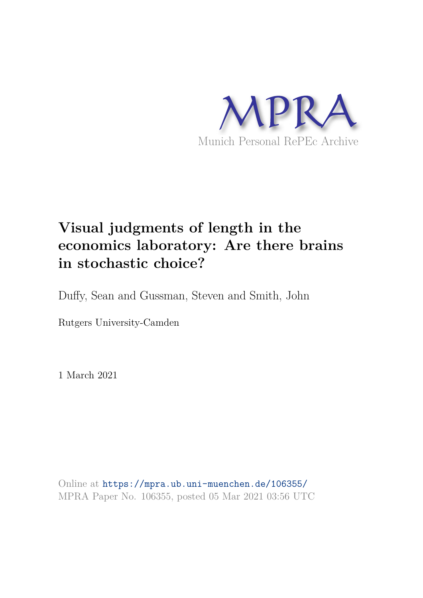

# **Visual judgments of length in the economics laboratory: Are there brains in stochastic choice?**

Duffy, Sean and Gussman, Steven and Smith, John

Rutgers University-Camden

1 March 2021

Online at https://mpra.ub.uni-muenchen.de/106355/ MPRA Paper No. 106355, posted 05 Mar 2021 03:56 UTC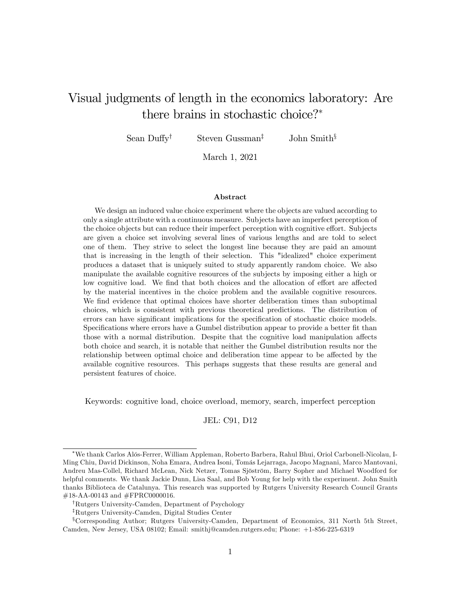# Visual judgments of length in the economics laboratory: Are there brains in stochastic choice?

Sean Duffy<sup>†</sup> Steven Gussman<sup>‡</sup> John Smith<sup>§</sup>

March 1, 2021

#### Abstract

We design an induced value choice experiment where the objects are valued according to only a single attribute with a continuous measure. Subjects have an imperfect perception of the choice objects but can reduce their imperfect perception with cognitive effort. Subjects are given a choice set involving several lines of various lengths and are told to select one of them. They strive to select the longest line because they are paid an amount that is increasing in the length of their selection. This "idealized" choice experiment produces a dataset that is uniquely suited to study apparently random choice. We also manipulate the available cognitive resources of the subjects by imposing either a high or low cognitive load. We find that both choices and the allocation of effort are affected by the material incentives in the choice problem and the available cognitive resources. We find evidence that optimal choices have shorter deliberation times than suboptimal choices, which is consistent with previous theoretical predictions. The distribution of errors can have significant implications for the specification of stochastic choice models. Specifications where errors have a Gumbel distribution appear to provide a better fit than those with a normal distribution. Despite that the cognitive load manipulation affects both choice and search, it is notable that neither the Gumbel distribution results nor the relationship between optimal choice and deliberation time appear to be affected by the available cognitive resources. This perhaps suggests that these results are general and persistent features of choice.

Keywords: cognitive load, choice overload, memory, search, imperfect perception

JEL: C91, D12

We thank Carlos AlÛs-Ferrer, William Appleman, Roberto Barbera, Rahul Bhui, Oriol Carbonell-Nicolau, I-Ming Chiu, David Dickinson, Noha Emara, Andrea Isoni, Tomás Lejarraga, Jacopo Magnani, Marco Mantovani, Andreu Mas-Collel, Richard McLean, Nick Netzer, Tomas Sjöström, Barry Sopher and Michael Woodford for helpful comments. We thank Jackie Dunn, Lisa Saal, and Bob Young for help with the experiment. John Smith thanks Biblioteca de Catalunya. This research was supported by Rutgers University Research Council Grants #18-AA-00143 and #FPRC0000016.

<sup>&</sup>lt;sup>†</sup>Rutgers University-Camden, Department of Psychology

<sup>&</sup>lt;sup>‡</sup>Rutgers University-Camden, Digital Studies Center

<sup>&</sup>lt;sup>§</sup>Corresponding Author; Rutgers University-Camden, Department of Economics, 311 North 5th Street, Camden, New Jersey, USA 08102; Email: smithj@camden.rutgers.edu; Phone: +1-856-225-6319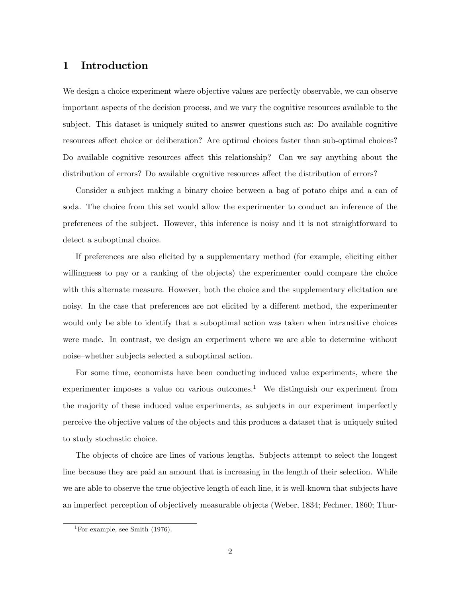### 1 Introduction

We design a choice experiment where objective values are perfectly observable, we can observe important aspects of the decision process, and we vary the cognitive resources available to the subject. This dataset is uniquely suited to answer questions such as: Do available cognitive resources affect choice or deliberation? Are optimal choices faster than sub-optimal choices? Do available cognitive resources affect this relationship? Can we say anything about the distribution of errors? Do available cognitive resources affect the distribution of errors?

Consider a subject making a binary choice between a bag of potato chips and a can of soda. The choice from this set would allow the experimenter to conduct an inference of the preferences of the subject. However, this inference is noisy and it is not straightforward to detect a suboptimal choice.

If preferences are also elicited by a supplementary method (for example, eliciting either willingness to pay or a ranking of the objects) the experimenter could compare the choice with this alternate measure. However, both the choice and the supplementary elicitation are noisy. In the case that preferences are not elicited by a different method, the experimenter would only be able to identify that a suboptimal action was taken when intransitive choices were made. In contrast, we design an experiment where we are able to determine—without noise–whether subjects selected a suboptimal action.

For some time, economists have been conducting induced value experiments, where the experimenter imposes a value on various outcomes.<sup>1</sup> We distinguish our experiment from the majority of these induced value experiments, as subjects in our experiment imperfectly perceive the objective values of the objects and this produces a dataset that is uniquely suited to study stochastic choice.

The objects of choice are lines of various lengths. Subjects attempt to select the longest line because they are paid an amount that is increasing in the length of their selection. While we are able to observe the true objective length of each line, it is well-known that subjects have an imperfect perception of objectively measurable objects (Weber, 1834; Fechner, 1860; Thur-

<sup>&</sup>lt;sup>1</sup>For example, see Smith  $(1976)$ .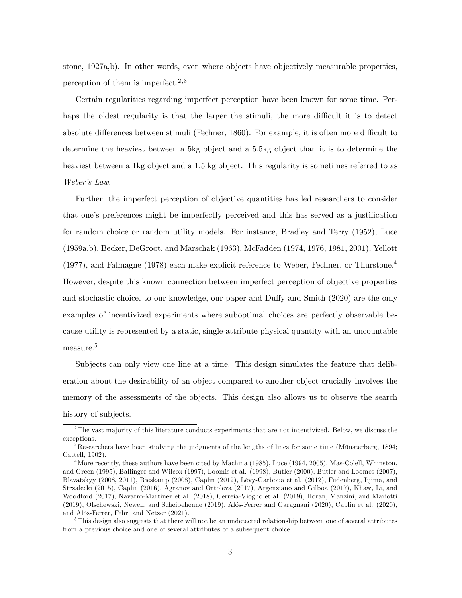stone, 1927a,b). In other words, even where objects have objectively measurable properties, perception of them is imperfect.<sup>2,3</sup>

Certain regularities regarding imperfect perception have been known for some time. Perhaps the oldest regularity is that the larger the stimuli, the more difficult it is to detect absolute differences between stimuli (Fechner, 1860). For example, it is often more difficult to determine the heaviest between a 5kg object and a 5.5kg object than it is to determine the heaviest between a 1kg object and a 1.5 kg object. This regularity is sometimes referred to as Weber's Law.

Further, the imperfect perception of objective quantities has led researchers to consider that one's preferences might be imperfectly perceived and this has served as a justification for random choice or random utility models. For instance, Bradley and Terry (1952), Luce (1959a,b), Becker, DeGroot, and Marschak (1963), McFadden (1974, 1976, 1981, 2001), Yellott (1977), and Falmagne (1978) each make explicit reference to Weber, Fechner, or Thurstone.<sup>4</sup> However, despite this known connection between imperfect perception of objective properties and stochastic choice, to our knowledge, our paper and Duffy and Smith (2020) are the only examples of incentivized experiments where suboptimal choices are perfectly observable because utility is represented by a static, single-attribute physical quantity with an uncountable measure.<sup>5</sup>

Subjects can only view one line at a time. This design simulates the feature that deliberation about the desirability of an object compared to another object crucially involves the memory of the assessments of the objects. This design also allows us to observe the search history of subjects.

<sup>&</sup>lt;sup>2</sup>The vast majority of this literature conducts experiments that are not incentivized. Below, we discuss the exceptions.

 $3$ Researchers have been studying the judgments of the lengths of lines for some time (Münsterberg, 1894; Cattell, 1902).

<sup>&</sup>lt;sup>4</sup>More recently, these authors have been cited by Machina (1985), Luce (1994, 2005), Mas-Colell, Whinston, and Green (1995), Ballinger and Wilcox (1997), Loomis et al. (1998), Butler (2000), Butler and Loomes (2007), Blavatskyy (2008, 2011), Rieskamp (2008), Caplin (2012), LÈvy-Garboua et al. (2012), Fudenberg, Iijima, and Strzalecki (2015), Caplin (2016), Agranov and Ortoleva (2017), Argenziano and Gilboa (2017), Khaw, Li, and Woodford (2017), Navarro-Martinez et al. (2018), Cerreia-Vioglio et al. (2019), Horan, Manzini, and Mariotti (2019), Olschewski, Newell, and Scheibehenne (2019), Alós-Ferrer and Garagnani (2020), Caplin et al. (2020), and Alós-Ferrer, Fehr, and Netzer (2021).

<sup>&</sup>lt;sup>5</sup>This design also suggests that there will not be an undetected relationship between one of several attributes from a previous choice and one of several attributes of a subsequent choice.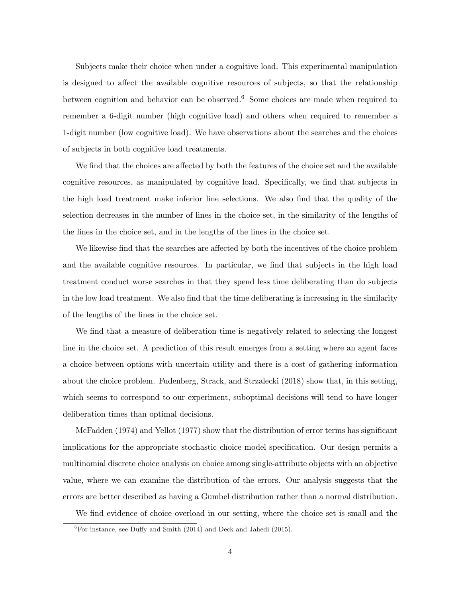Subjects make their choice when under a cognitive load. This experimental manipulation is designed to affect the available cognitive resources of subjects, so that the relationship between cognition and behavior can be observed.<sup>6</sup> Some choices are made when required to remember a 6-digit number (high cognitive load) and others when required to remember a 1-digit number (low cognitive load). We have observations about the searches and the choices of subjects in both cognitive load treatments.

We find that the choices are affected by both the features of the choice set and the available cognitive resources, as manipulated by cognitive load. Specifically, we find that subjects in the high load treatment make inferior line selections. We also find that the quality of the selection decreases in the number of lines in the choice set, in the similarity of the lengths of the lines in the choice set, and in the lengths of the lines in the choice set.

We likewise find that the searches are affected by both the incentives of the choice problem and the available cognitive resources. In particular, we find that subjects in the high load treatment conduct worse searches in that they spend less time deliberating than do subjects in the low load treatment. We also find that the time deliberating is increasing in the similarity of the lengths of the lines in the choice set.

We find that a measure of deliberation time is negatively related to selecting the longest line in the choice set. A prediction of this result emerges from a setting where an agent faces a choice between options with uncertain utility and there is a cost of gathering information about the choice problem. Fudenberg, Strack, and Strzalecki (2018) show that, in this setting, which seems to correspond to our experiment, suboptimal decisions will tend to have longer deliberation times than optimal decisions.

McFadden  $(1974)$  and Yellot  $(1977)$  show that the distribution of error terms has significant implications for the appropriate stochastic choice model specification. Our design permits a multinomial discrete choice analysis on choice among single-attribute objects with an objective value, where we can examine the distribution of the errors. Our analysis suggests that the errors are better described as having a Gumbel distribution rather than a normal distribution.

We find evidence of choice overload in our setting, where the choice set is small and the

 ${}^{6}$ For instance, see Duffy and Smith (2014) and Deck and Jahedi (2015).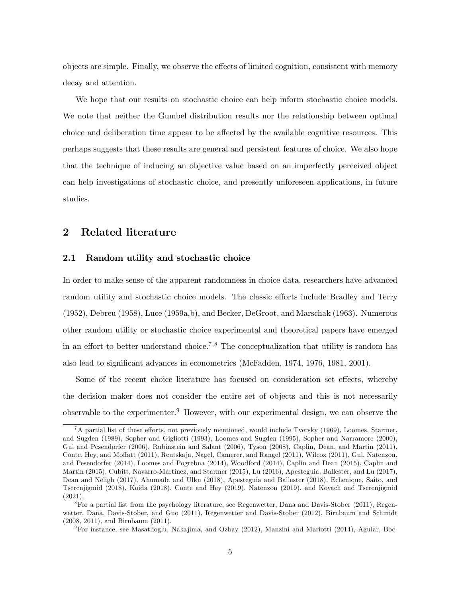objects are simple. Finally, we observe the effects of limited cognition, consistent with memory decay and attention.

We hope that our results on stochastic choice can help inform stochastic choice models. We note that neither the Gumbel distribution results nor the relationship between optimal choice and deliberation time appear to be affected by the available cognitive resources. This perhaps suggests that these results are general and persistent features of choice. We also hope that the technique of inducing an objective value based on an imperfectly perceived object can help investigations of stochastic choice, and presently unforeseen applications, in future studies.

### 2 Related literature

#### 2.1 Random utility and stochastic choice

In order to make sense of the apparent randomness in choice data, researchers have advanced random utility and stochastic choice models. The classic efforts include Bradley and Terry (1952), Debreu (1958), Luce (1959a,b), and Becker, DeGroot, and Marschak (1963). Numerous other random utility or stochastic choice experimental and theoretical papers have emerged in an effort to better understand choice.<sup>7,8</sup> The conceptualization that utility is random has also lead to significant advances in econometrics (McFadden, 1974, 1976, 1981, 2001).

Some of the recent choice literature has focused on consideration set effects, whereby the decision maker does not consider the entire set of objects and this is not necessarily observable to the experimenter. Followever, with our experimental design, we can observe the

 ${}^{7}A$  partial list of these efforts, not previously mentioned, would include Tversky (1969), Loomes, Starmer, and Sugden (1989), Sopher and Gigliotti (1993), Loomes and Sugden (1995), Sopher and Narramore (2000), Gul and Pesendorfer (2006), Rubinstein and Salant (2006), Tyson (2008), Caplin, Dean, and Martin (2011), Conte, Hey, and Moffatt (2011), Reutskaja, Nagel, Camerer, and Rangel (2011), Wilcox (2011), Gul, Natenzon, and Pesendorfer (2014), Loomes and Pogrebna (2014), Woodford (2014), Caplin and Dean (2015), Caplin and Martin (2015), Cubitt, Navarro-Martinez, and Starmer (2015), Lu (2016), Apesteguia, Ballester, and Lu (2017), Dean and Neligh (2017), Ahumada and Ulku (2018), Apesteguia and Ballester (2018), Echenique, Saito, and Tserenjigmid (2018), Koida (2018), Conte and Hey (2019), Natenzon (2019), and Kovach and Tserenjigmid  $(2021)$ .

<sup>8</sup>For a partial list from the psychology literature, see Regenwetter, Dana and Davis-Stober (2011), Regenwetter, Dana, Davis-Stober, and Guo (2011), Regenwetter and Davis-Stober (2012), Birnbaum and Schmidt (2008, 2011), and Birnbaum (2011).

<sup>9</sup>For instance, see Masatlioglu, Nakajima, and Ozbay (2012), Manzini and Mariotti (2014), Aguiar, Boc-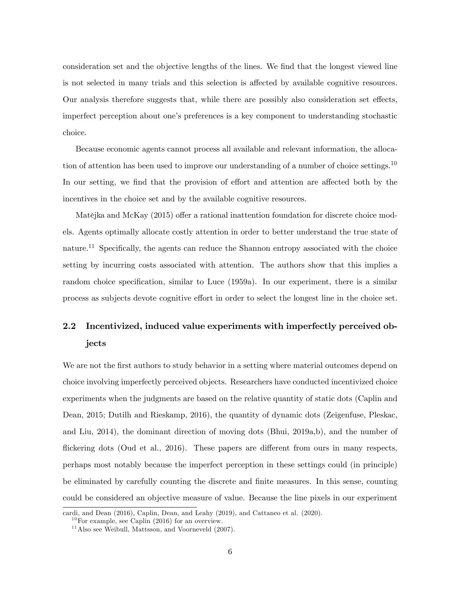consideration set and the objective lengths of the lines. We find that the longest viewed line is not selected in many trials and this selection is affected by available cognitive resources. Our analysis therefore suggests that, while there are possibly also consideration set effects, imperfect perception about oneís preferences is a key component to understanding stochastic choice.

Because economic agents cannot process all available and relevant information, the allocation of attention has been used to improve our understanding of a number of choice settings.<sup>10</sup> In our setting, we find that the provision of effort and attention are affected both by the incentives in the choice set and by the available cognitive resources.

Matějka and McKay (2015) offer a rational inattention foundation for discrete choice models. Agents optimally allocate costly attention in order to better understand the true state of nature.<sup>11</sup> Specifically, the agents can reduce the Shannon entropy associated with the choice setting by incurring costs associated with attention. The authors show that this implies a random choice specification, similar to Luce (1959a). In our experiment, there is a similar process as subjects devote cognitive effort in order to select the longest line in the choice set.

# 2.2 Incentivized, induced value experiments with imperfectly perceived objects

We are not the first authors to study behavior in a setting where material outcomes depend on choice involving imperfectly perceived objects. Researchers have conducted incentivized choice experiments when the judgments are based on the relative quantity of static dots (Caplin and Dean, 2015; Dutilh and Rieskamp, 2016), the quantity of dynamic dots (Zeigenfuse, Pleskac, and Liu, 2014), the dominant direction of moving dots (Bhui, 2019a,b), and the number of flickering dots (Oud et al., 2016). These papers are different from ours in many respects, perhaps most notably because the imperfect perception in these settings could (in principle) be eliminated by carefully counting the discrete and finite measures. In this sense, counting could be considered an objective measure of value. Because the line pixels in our experiment

cardi, and Dean (2016), Caplin, Dean, and Leahy (2019), and Cattaneo et al. (2020).

 $^{10}$ For example, see Caplin (2016) for an overview.

 $11$ Also see Weibull, Mattsson, and Voorneveld (2007).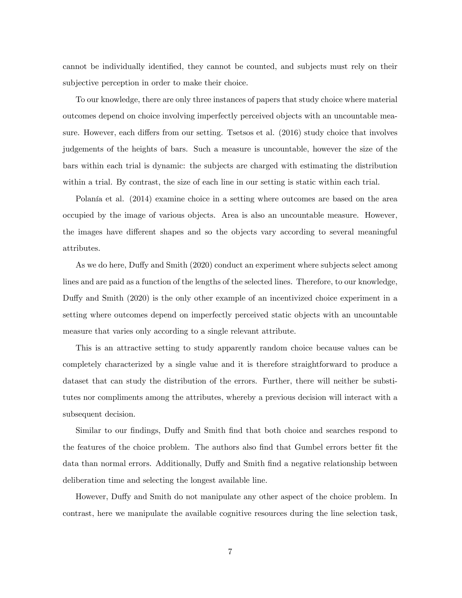cannot be individually identified, they cannot be counted, and subjects must rely on their subjective perception in order to make their choice.

To our knowledge, there are only three instances of papers that study choice where material outcomes depend on choice involving imperfectly perceived objects with an uncountable measure. However, each differs from our setting. Tsetsos et al. (2016) study choice that involves judgements of the heights of bars. Such a measure is uncountable, however the size of the bars within each trial is dynamic: the subjects are charged with estimating the distribution within a trial. By contrast, the size of each line in our setting is static within each trial.

Polanía et al. (2014) examine choice in a setting where outcomes are based on the area occupied by the image of various objects. Area is also an uncountable measure. However, the images have different shapes and so the objects vary according to several meaningful attributes.

As we do here, Duffy and Smith (2020) conduct an experiment where subjects select among lines and are paid as a function of the lengths of the selected lines. Therefore, to our knowledge, Duffy and Smith (2020) is the only other example of an incentivized choice experiment in a setting where outcomes depend on imperfectly perceived static objects with an uncountable measure that varies only according to a single relevant attribute.

This is an attractive setting to study apparently random choice because values can be completely characterized by a single value and it is therefore straightforward to produce a dataset that can study the distribution of the errors. Further, there will neither be substitutes nor compliments among the attributes, whereby a previous decision will interact with a subsequent decision.

Similar to our findings, Duffy and Smith find that both choice and searches respond to the features of the choice problem. The authors also find that Gumbel errors better fit the data than normal errors. Additionally, Duffy and Smith find a negative relationship between deliberation time and selecting the longest available line.

However, Duffy and Smith do not manipulate any other aspect of the choice problem. In contrast, here we manipulate the available cognitive resources during the line selection task,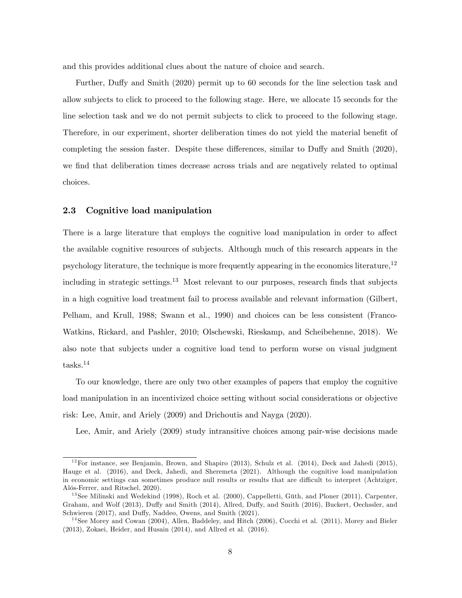and this provides additional clues about the nature of choice and search.

Further, Duffy and Smith (2020) permit up to 60 seconds for the line selection task and allow subjects to click to proceed to the following stage. Here, we allocate 15 seconds for the line selection task and we do not permit subjects to click to proceed to the following stage. Therefore, in our experiment, shorter deliberation times do not yield the material benefit of completing the session faster. Despite these differences, similar to Duffy and Smith  $(2020)$ , we find that deliberation times decrease across trials and are negatively related to optimal choices.

#### 2.3 Cognitive load manipulation

There is a large literature that employs the cognitive load manipulation in order to affect the available cognitive resources of subjects. Although much of this research appears in the psychology literature, the technique is more frequently appearing in the economics literature,  $12$ including in strategic settings.<sup>13</sup> Most relevant to our purposes, research finds that subjects in a high cognitive load treatment fail to process available and relevant information (Gilbert, Pelham, and Krull, 1988; Swann et al., 1990) and choices can be less consistent (Franco-Watkins, Rickard, and Pashler, 2010; Olschewski, Rieskamp, and Scheibehenne, 2018). We also note that subjects under a cognitive load tend to perform worse on visual judgment tasks.<sup>14</sup>

To our knowledge, there are only two other examples of papers that employ the cognitive load manipulation in an incentivized choice setting without social considerations or objective risk: Lee, Amir, and Ariely (2009) and Drichoutis and Nayga (2020).

Lee, Amir, and Ariely (2009) study intransitive choices among pair-wise decisions made

 $12$  For instance, see Benjamin, Brown, and Shapiro (2013), Schulz et al. (2014), Deck and Jahedi (2015), Hauge et al. (2016), and Deck, Jahedi, and Sheremeta (2021). Although the cognitive load manipulation in economic settings can sometimes produce null results or results that are difficult to interpret (Achtziger, Alós-Ferrer, and Ritschel, 2020).

<sup>&</sup>lt;sup>13</sup> See Milinski and Wedekind (1998), Roch et al. (2000), Cappelletti, Güth, and Ploner (2011), Carpenter, Graham, and Wolf (2013), Duffy and Smith (2014), Allred, Duffy, and Smith (2016), Buckert, Oechssler, and Schwieren (2017), and Duffy, Naddeo, Owens, and Smith (2021).

<sup>&</sup>lt;sup>14</sup> See Morey and Cowan (2004), Allen, Baddeley, and Hitch (2006), Cocchi et al. (2011), Morey and Bieler (2013), Zokaei, Heider, and Husain (2014), and Allred et al. (2016).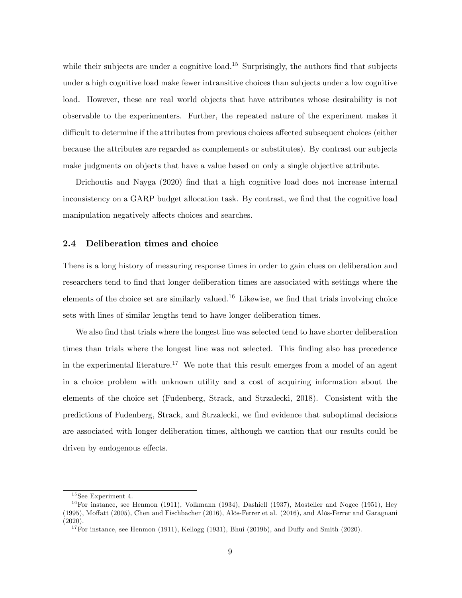while their subjects are under a cognitive load.<sup>15</sup> Surprisingly, the authors find that subjects under a high cognitive load make fewer intransitive choices than subjects under a low cognitive load. However, these are real world objects that have attributes whose desirability is not observable to the experimenters. Further, the repeated nature of the experiment makes it difficult to determine if the attributes from previous choices affected subsequent choices (either because the attributes are regarded as complements or substitutes). By contrast our subjects make judgments on objects that have a value based on only a single objective attribute.

Drichoutis and Nayga (2020) find that a high cognitive load does not increase internal inconsistency on a GARP budget allocation task. By contrast, we find that the cognitive load manipulation negatively affects choices and searches.

#### 2.4 Deliberation times and choice

There is a long history of measuring response times in order to gain clues on deliberation and researchers tend to find that longer deliberation times are associated with settings where the elements of the choice set are similarly valued.<sup>16</sup> Likewise, we find that trials involving choice sets with lines of similar lengths tend to have longer deliberation times.

We also find that trials where the longest line was selected tend to have shorter deliberation times than trials where the longest line was not selected. This finding also has precedence in the experimental literature.<sup>17</sup> We note that this result emerges from a model of an agent in a choice problem with unknown utility and a cost of acquiring information about the elements of the choice set (Fudenberg, Strack, and Strzalecki, 2018). Consistent with the predictions of Fudenberg, Strack, and Strzalecki, we find evidence that suboptimal decisions are associated with longer deliberation times, although we caution that our results could be driven by endogenous effects.

 $15$ See Experiment 4.

 $16$ For instance, see Henmon (1911), Volkmann (1934), Dashiell (1937), Mosteller and Nogee (1951), Hey (1995), Moffatt (2005), Chen and Fischbacher (2016), Alós-Ferrer et al. (2016), and Alós-Ferrer and Garagnani (2020).

<sup>&</sup>lt;sup>17</sup>For instance, see Henmon (1911), Kellogg (1931), Bhui (2019b), and Duffy and Smith (2020).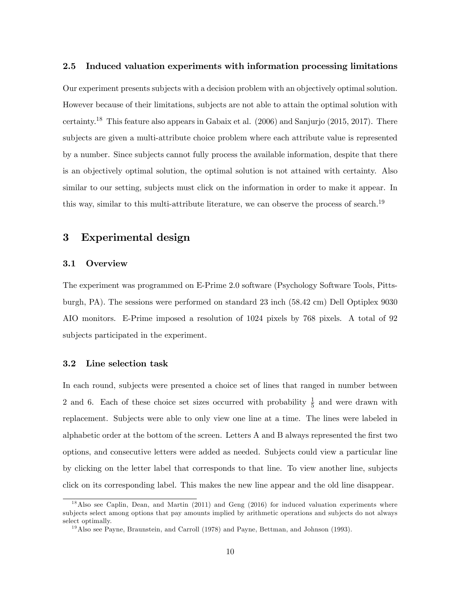#### 2.5 Induced valuation experiments with information processing limitations

Our experiment presents subjects with a decision problem with an objectively optimal solution. However because of their limitations, subjects are not able to attain the optimal solution with certainty.<sup>18</sup> This feature also appears in Gabaix et al. (2006) and Sanjurjo (2015, 2017). There subjects are given a multi-attribute choice problem where each attribute value is represented by a number. Since subjects cannot fully process the available information, despite that there is an objectively optimal solution, the optimal solution is not attained with certainty. Also similar to our setting, subjects must click on the information in order to make it appear. In this way, similar to this multi-attribute literature, we can observe the process of search.<sup>19</sup>

### 3 Experimental design

#### 3.1 Overview

The experiment was programmed on E-Prime 2.0 software (Psychology Software Tools, Pittsburgh, PA). The sessions were performed on standard 23 inch (58:42 cm) Dell Optiplex 9030 AIO monitors. E-Prime imposed a resolution of 1024 pixels by 768 pixels. A total of 92 subjects participated in the experiment.

#### 3.2 Line selection task

In each round, subjects were presented a choice set of lines that ranged in number between 2 and 6. Each of these choice set sizes occurred with probability  $\frac{1}{5}$  and were drawn with replacement. Subjects were able to only view one line at a time. The lines were labeled in alphabetic order at the bottom of the screen. Letters A and B always represented the first two options, and consecutive letters were added as needed. Subjects could view a particular line by clicking on the letter label that corresponds to that line. To view another line, subjects click on its corresponding label. This makes the new line appear and the old line disappear.

 $1<sup>8</sup>$  Also see Caplin, Dean, and Martin (2011) and Geng (2016) for induced valuation experiments where subjects select among options that pay amounts implied by arithmetic operations and subjects do not always select optimally.

 $19$ Also see Payne, Braunstein, and Carroll (1978) and Payne, Bettman, and Johnson (1993).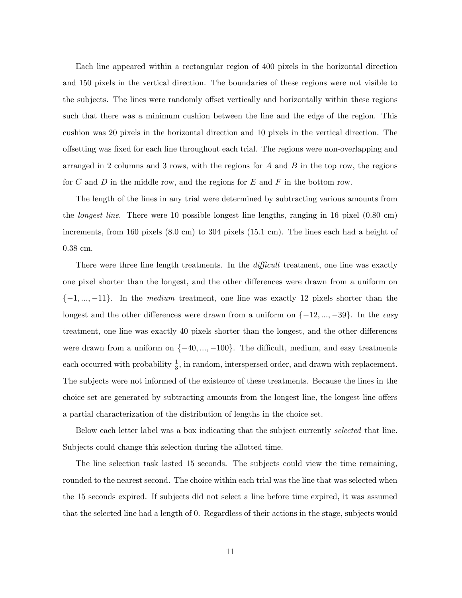Each line appeared within a rectangular region of 400 pixels in the horizontal direction and 150 pixels in the vertical direction. The boundaries of these regions were not visible to the subjects. The lines were randomly offset vertically and horizontally within these regions such that there was a minimum cushion between the line and the edge of the region. This cushion was 20 pixels in the horizontal direction and 10 pixels in the vertical direction. The o§setting was Öxed for each line throughout each trial. The regions were non-overlapping and arranged in 2 columns and 3 rows, with the regions for  $A$  and  $B$  in the top row, the regions for C and D in the middle row, and the regions for E and F in the bottom row.

The length of the lines in any trial were determined by subtracting various amounts from the *longest line*. There were 10 possible longest line lengths, ranging in 16 pixel (0.80 cm) increments, from 160 pixels (8:0 cm) to 304 pixels (15:1 cm). The lines each had a height of 0:38 cm.

There were three line length treatments. In the  $di\hat{f}f\hat{c}u$  treatment, one line was exactly one pixel shorter than the longest, and the other differences were drawn from a uniform on  $\{-1, ..., -11\}$ . In the *medium* treatment, one line was exactly 12 pixels shorter than the longest and the other differences were drawn from a uniform on  $\{-12, ..., -39\}$ . In the easy treatment, one line was exactly 40 pixels shorter than the longest, and the other differences were drawn from a uniform on  $\{-40, ..., -100\}$ . The difficult, medium, and easy treatments each occurred with probability  $\frac{1}{3}$ , in random, interspersed order, and drawn with replacement. The subjects were not informed of the existence of these treatments. Because the lines in the choice set are generated by subtracting amounts from the longest line, the longest line offers a partial characterization of the distribution of lengths in the choice set.

Below each letter label was a box indicating that the subject currently selected that line. Subjects could change this selection during the allotted time.

The line selection task lasted 15 seconds. The subjects could view the time remaining, rounded to the nearest second. The choice within each trial was the line that was selected when the 15 seconds expired. If subjects did not select a line before time expired, it was assumed that the selected line had a length of 0. Regardless of their actions in the stage, subjects would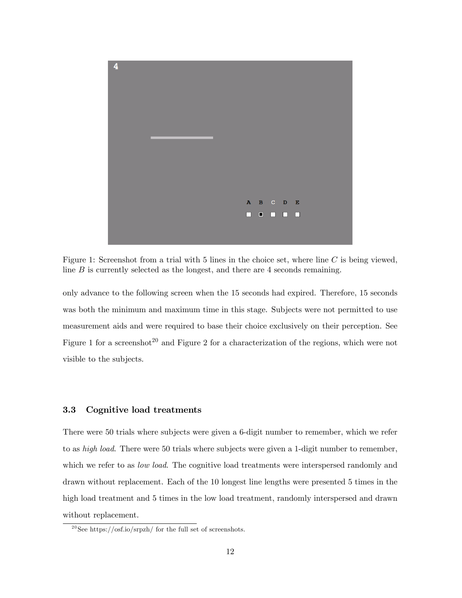

Figure 1: Screenshot from a trial with 5 lines in the choice set, where line  $C$  is being viewed, line  $B$  is currently selected as the longest, and there are 4 seconds remaining.

only advance to the following screen when the 15 seconds had expired. Therefore, 15 seconds was both the minimum and maximum time in this stage. Subjects were not permitted to use measurement aids and were required to base their choice exclusively on their perception. See Figure 1 for a screenshot<sup>20</sup> and Figure 2 for a characterization of the regions, which were not visible to the subjects.

#### 3.3 Cognitive load treatments

There were 50 trials where subjects were given a 6-digit number to remember, which we refer to as *high load*. There were 50 trials where subjects were given a 1-digit number to remember, which we refer to as *low load*. The cognitive load treatments were interspersed randomly and drawn without replacement. Each of the 10 longest line lengths were presented 5 times in the high load treatment and 5 times in the low load treatment, randomly interspersed and drawn without replacement.

<sup>&</sup>lt;sup>20</sup>See https://osf.io/srpzh/ for the full set of screenshots.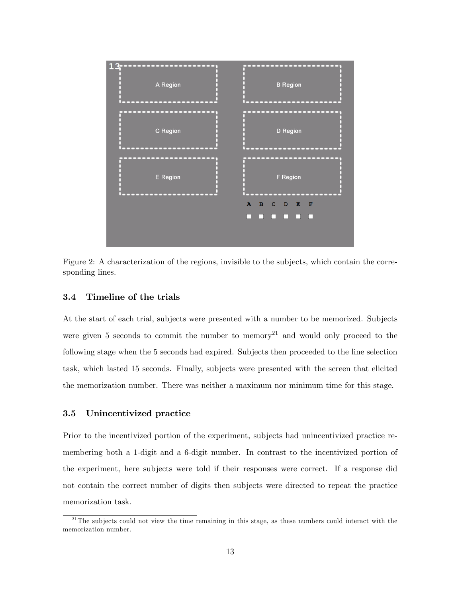

Figure 2: A characterization of the regions, invisible to the subjects, which contain the corresponding lines.

#### 3.4 Timeline of the trials

At the start of each trial, subjects were presented with a number to be memorized. Subjects were given 5 seconds to commit the number to memory<sup>21</sup> and would only proceed to the following stage when the 5 seconds had expired. Subjects then proceeded to the line selection task, which lasted 15 seconds. Finally, subjects were presented with the screen that elicited the memorization number. There was neither a maximum nor minimum time for this stage.

#### 3.5 Unincentivized practice

Prior to the incentivized portion of the experiment, subjects had unincentivized practice remembering both a 1-digit and a 6-digit number. In contrast to the incentivized portion of the experiment, here subjects were told if their responses were correct. If a response did not contain the correct number of digits then subjects were directed to repeat the practice memorization task.

 $21$ <sup>21</sup>The subjects could not view the time remaining in this stage, as these numbers could interact with the memorization number.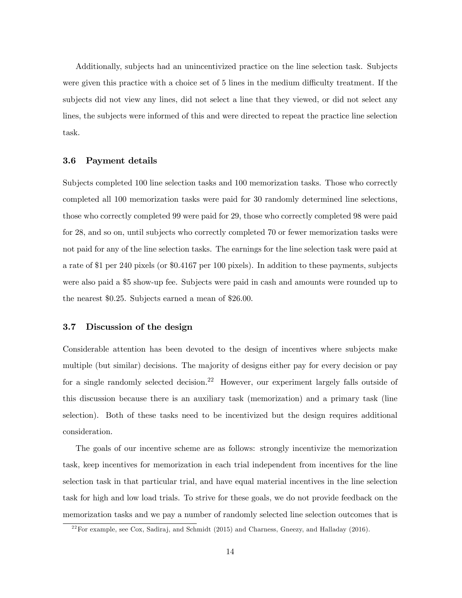Additionally, subjects had an unincentivized practice on the line selection task. Subjects were given this practice with a choice set of 5 lines in the medium difficulty treatment. If the subjects did not view any lines, did not select a line that they viewed, or did not select any lines, the subjects were informed of this and were directed to repeat the practice line selection task.

#### 3.6 Payment details

Subjects completed 100 line selection tasks and 100 memorization tasks. Those who correctly completed all 100 memorization tasks were paid for 30 randomly determined line selections, those who correctly completed 99 were paid for 29, those who correctly completed 98 were paid for 28, and so on, until subjects who correctly completed 70 or fewer memorization tasks were not paid for any of the line selection tasks. The earnings for the line selection task were paid at a rate of \$1 per 240 pixels (or \$0:4167 per 100 pixels). In addition to these payments, subjects were also paid a \$5 show-up fee. Subjects were paid in cash and amounts were rounded up to the nearest \$0:25. Subjects earned a mean of \$26:00.

#### 3.7 Discussion of the design

Considerable attention has been devoted to the design of incentives where subjects make multiple (but similar) decisions. The majority of designs either pay for every decision or pay for a single randomly selected decision.<sup>22</sup> However, our experiment largely falls outside of this discussion because there is an auxiliary task (memorization) and a primary task (line selection). Both of these tasks need to be incentivized but the design requires additional consideration.

The goals of our incentive scheme are as follows: strongly incentivize the memorization task, keep incentives for memorization in each trial independent from incentives for the line selection task in that particular trial, and have equal material incentives in the line selection task for high and low load trials. To strive for these goals, we do not provide feedback on the memorization tasks and we pay a number of randomly selected line selection outcomes that is

 $22$  For example, see Cox, Sadiraj, and Schmidt (2015) and Charness, Gneezy, and Halladay (2016).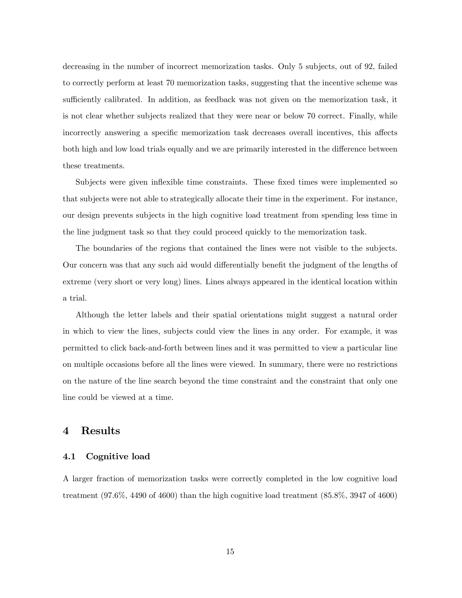decreasing in the number of incorrect memorization tasks. Only 5 subjects, out of 92, failed to correctly perform at least 70 memorization tasks, suggesting that the incentive scheme was sufficiently calibrated. In addition, as feedback was not given on the memorization task, it is not clear whether subjects realized that they were near or below 70 correct. Finally, while incorrectly answering a specific memorization task decreases overall incentives, this affects both high and low load trials equally and we are primarily interested in the difference between these treatments.

Subjects were given inflexible time constraints. These fixed times were implemented so that subjects were not able to strategically allocate their time in the experiment. For instance, our design prevents subjects in the high cognitive load treatment from spending less time in the line judgment task so that they could proceed quickly to the memorization task.

The boundaries of the regions that contained the lines were not visible to the subjects. Our concern was that any such aid would differentially benefit the judgment of the lengths of extreme (very short or very long) lines. Lines always appeared in the identical location within a trial.

Although the letter labels and their spatial orientations might suggest a natural order in which to view the lines, subjects could view the lines in any order. For example, it was permitted to click back-and-forth between lines and it was permitted to view a particular line on multiple occasions before all the lines were viewed. In summary, there were no restrictions on the nature of the line search beyond the time constraint and the constraint that only one line could be viewed at a time.

#### 4 Results

#### 4.1 Cognitive load

A larger fraction of memorization tasks were correctly completed in the low cognitive load treatment (97:6%, 4490 of 4600) than the high cognitive load treatment (85:8%, 3947 of 4600)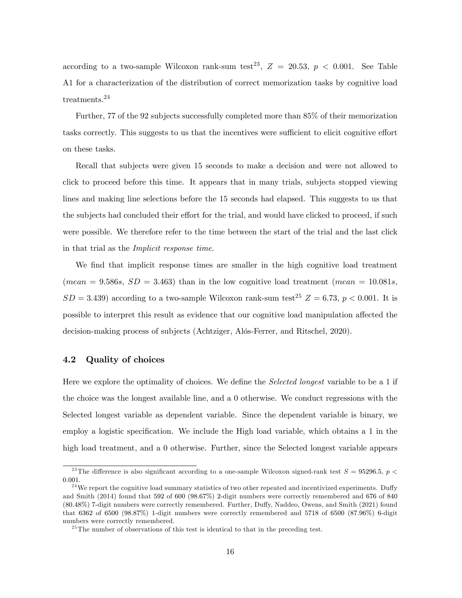according to a two-sample Wilcoxon rank-sum test<sup>23</sup>,  $Z = 20.53, p < 0.001$ . See Table A1 for a characterization of the distribution of correct memorization tasks by cognitive load treatments.<sup>24</sup>

Further, 77 of the 92 subjects successfully completed more than 85% of their memorization tasks correctly. This suggests to us that the incentives were sufficient to elicit cognitive effort on these tasks.

Recall that subjects were given 15 seconds to make a decision and were not allowed to click to proceed before this time. It appears that in many trials, subjects stopped viewing lines and making line selections before the 15 seconds had elapsed. This suggests to us that the subjects had concluded their effort for the trial, and would have clicked to proceed, if such were possible. We therefore refer to the time between the start of the trial and the last click in that trial as the Implicit response time.

We find that implicit response times are smaller in the high cognitive load treatment (mean = 9.586s,  $SD = 3.463$ ) than in the low cognitive load treatment (mean = 10.081s,  $SD = 3.439$ ) according to a two-sample Wilcoxon rank-sum test<sup>25</sup>  $Z = 6.73$ ,  $p < 0.001$ . It is possible to interpret this result as evidence that our cognitive load manipulation affected the decision-making process of subjects (Achtziger, Alós-Ferrer, and Ritschel, 2020).

#### 4.2 Quality of choices

Here we explore the optimality of choices. We define the *Selected longest* variable to be a 1 if the choice was the longest available line, and a 0 otherwise. We conduct regressions with the Selected longest variable as dependent variable. Since the dependent variable is binary, we employ a logistic specification. We include the High load variable, which obtains a 1 in the high load treatment, and a 0 otherwise. Further, since the Selected longest variable appears

<sup>&</sup>lt;sup>23</sup>The difference is also significant according to a one-sample Wilcoxon signed-rank test  $S = 95296.5, p <$ 0:001.

<sup>&</sup>lt;sup>24</sup>We report the cognitive load summary statistics of two other repeated and incentivized experiments. Duffy and Smith (2014) found that 592 of 600 (98:67%) 2-digit numbers were correctly remembered and 676 of 840 (80.48%) 7-digit numbers were correctly remembered. Further, Duffy, Naddeo, Owens, and Smith (2021) found that 6362 of 6500 (98:87%) 1-digit numbers were correctly remembered and 5718 of 6500 (87:96%) 6-digit numbers were correctly remembered.

 $^{25}$ The number of observations of this test is identical to that in the preceding test.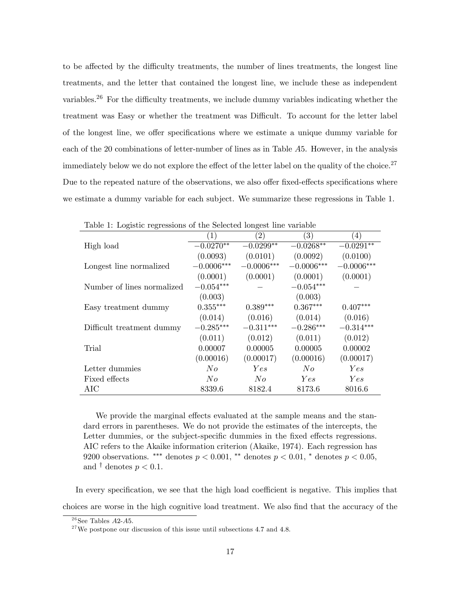to be affected by the difficulty treatments, the number of lines treatments, the longest line treatments, and the letter that contained the longest line, we include these as independent variables.<sup>26</sup> For the difficulty treatments, we include dummy variables indicating whether the treatment was Easy or whether the treatment was Difficult. To account for the letter label of the longest line, we offer specifications where we estimate a unique dummy variable for each of the 20 combinations of letter-number of lines as in Table A5. However, in the analysis immediately below we do not explore the effect of the letter label on the quality of the choice.<sup>27</sup> Due to the repeated nature of the observations, we also offer fixed-effects specifications where we estimate a dummy variable for each subject. We summarize these regressions in Table 1.

| Table 1. Deglette regressions of the Scheeted fongele nue variable |                  |              |              |              |  |  |
|--------------------------------------------------------------------|------------------|--------------|--------------|--------------|--|--|
|                                                                    | $\left(1\right)$ | (2)          | (3)          | (4)          |  |  |
| High load                                                          | $-0.0270**$      | $-0.0299**$  | $-0.0268**$  | $-0.0291**$  |  |  |
|                                                                    | (0.0093)         | (0.0101)     | (0.0092)     | (0.0100)     |  |  |
| Longest line normalized                                            | $-0.0006***$     | $-0.0006***$ | $-0.0006***$ | $-0.0006***$ |  |  |
|                                                                    | (0.0001)         | (0.0001)     | (0.0001)     | (0.0001)     |  |  |
| Number of lines normalized                                         | $-0.054***$      |              | $-0.054***$  |              |  |  |
|                                                                    | (0.003)          |              | (0.003)      |              |  |  |
| Easy treatment dummy                                               | $0.355***$       | $0.389***$   | $0.367***$   | $0.407***$   |  |  |
|                                                                    | (0.014)          | (0.016)      | (0.014)      | (0.016)      |  |  |
| Difficult treatment dummy                                          | $-0.285***$      | $-0.311***$  | $-0.286***$  | $-0.314***$  |  |  |
|                                                                    | (0.011)          | (0.012)      | (0.011)      | (0.012)      |  |  |
| Trial                                                              | 0.00007          | 0.00005      | 0.00005      | 0.00002      |  |  |
|                                                                    | (0.00016)        | (0.00017)    | (0.00016)    | (0.00017)    |  |  |
| Letter dummies                                                     | No               | Yes          | No           | Yes          |  |  |
| Fixed effects                                                      | No               | No           | Yes          | Yes          |  |  |
| AIC                                                                | 8339.6           | 8182.4       | 8173.6       | 8016.6       |  |  |

Table 1: Logistic regressions of the Selected longest line variable

We provide the marginal effects evaluated at the sample means and the standard errors in parentheses. We do not provide the estimates of the intercepts, the Letter dummies, or the subject-specific dummies in the fixed effects regressions. AIC refers to the Akaike information criterion (Akaike, 1974). Each regression has 9200 observations. \*\*\* denotes  $p < 0.001$ , \*\* denotes  $p < 0.01$ , \* denotes  $p < 0.05$ , and  $\dagger$  denotes  $p < 0.1$ .

In every specification, we see that the high load coefficient is negative. This implies that choices are worse in the high cognitive load treatment. We also Önd that the accuracy of the

 $2^6$ See Tables A2-A5.

 $27$  We postpone our discussion of this issue until subsections 4.7 and 4.8.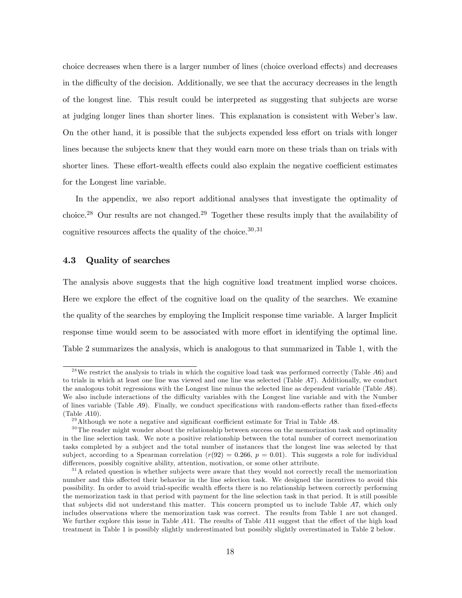choice decreases when there is a larger number of lines (choice overload effects) and decreases in the difficulty of the decision. Additionally, we see that the accuracy decreases in the length of the longest line. This result could be interpreted as suggesting that subjects are worse at judging longer lines than shorter lines. This explanation is consistent with Weber's law. On the other hand, it is possible that the subjects expended less effort on trials with longer lines because the subjects knew that they would earn more on these trials than on trials with shorter lines. These effort-wealth effects could also explain the negative coefficient estimates for the Longest line variable.

In the appendix, we also report additional analyses that investigate the optimality of choice.<sup>28</sup> Our results are not changed.<sup>29</sup> Together these results imply that the availability of cognitive resources affects the quality of the choice.  $30,31$ 

#### 4.3 Quality of searches

The analysis above suggests that the high cognitive load treatment implied worse choices. Here we explore the effect of the cognitive load on the quality of the searches. We examine the quality of the searches by employing the Implicit response time variable. A larger Implicit response time would seem to be associated with more effort in identifying the optimal line. Table 2 summarizes the analysis, which is analogous to that summarized in Table 1, with the

<sup>&</sup>lt;sup>28</sup>We restrict the analysis to trials in which the cognitive load task was performed correctly (Table  $A6$ ) and to trials in which at least one line was viewed and one line was selected (Table A7). Additionally, we conduct the analogous tobit regressions with the Longest line minus the selected line as dependent variable (Table A8). We also include interactions of the difficulty variables with the Longest line variable and with the Number of lines variable (Table A9). Finally, we conduct specifications with random-effects rather than fixed-effects (Table A10).

 $^{29}$  Although we note a negative and significant coefficient estimate for Trial in Table A8.

 $30$ The reader might wonder about the relationship between success on the memorization task and optimality in the line selection task. We note a positive relationship between the total number of correct memorization tasks completed by a subject and the total number of instances that the longest line was selected by that subject, according to a Spearman correlation  $(r(92) = 0.266, p = 0.01)$ . This suggests a role for individual differences, possibly cognitive ability, attention, motivation, or some other attribute.

 $3<sup>1</sup>A$  related question is whether subjects were aware that they would not correctly recall the memorization number and this affected their behavior in the line selection task. We designed the incentives to avoid this possibility. In order to avoid trial-specific wealth effects there is no relationship between correctly performing the memorization task in that period with payment for the line selection task in that period. It is still possible that subjects did not understand this matter. This concern prompted us to include Table A7, which only includes observations where the memorization task was correct. The results from Table 1 are not changed. We further explore this issue in Table  $A11$ . The results of Table  $A11$  suggest that the effect of the high load treatment in Table 1 is possibly slightly underestimated but possibly slightly overestimated in Table 2 below.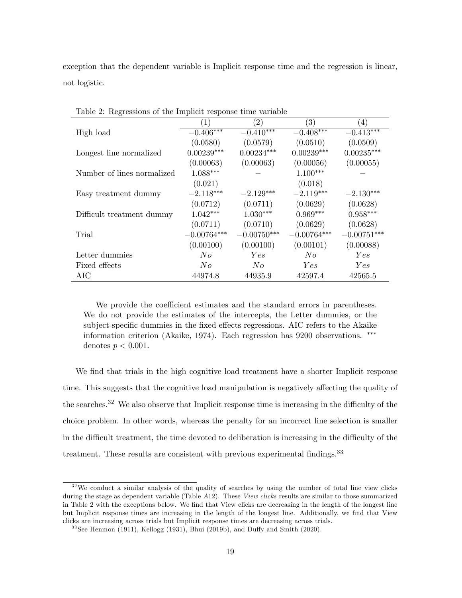exception that the dependent variable is Implicit response time and the regression is linear, not logistic.

|                            | (1)           | $^{\prime}2)$ | $\left( 3\right)$ | $\left(4\right)$ |
|----------------------------|---------------|---------------|-------------------|------------------|
| High load                  | $-0.406***$   | $-0.410***$   | $-0.408***$       | $-0.413***$      |
|                            | (0.0580)      | (0.0579)      | (0.0510)          | (0.0509)         |
| Longest line normalized    | $0.00239***$  | $0.00234***$  | $0.00239***$      | $0.00235***$     |
|                            | (0.00063)     | (0.00063)     | (0.00056)         | (0.00055)        |
| Number of lines normalized | $1.088***$    |               | $1.100***$        |                  |
|                            | (0.021)       |               | (0.018)           |                  |
| Easy treatment dummy       | $-2.118***$   | $-2.129***$   | $-2.119***$       | $-2.130***$      |
|                            | (0.0712)      | (0.0711)      | (0.0629)          | (0.0628)         |
| Difficult treatment dummy  | $1.042***$    | $1.030***$    | $0.969***$        | $0.958***$       |
|                            | (0.0711)      | (0.0710)      | (0.0629)          | (0.0628)         |
| Trial                      | $-0.00764***$ | $-0.00750***$ | $-0.00764***$     | $-0.00751***$    |
|                            | (0.00100)     | (0.00100)     | (0.00101)         | (0.00088)        |
| Letter dummies             | No            | Yes           | No                | Yes              |
| Fixed effects              | No            | No            | <i>Yes</i>        | Yes              |
| AIC                        | 44974.8       | 44935.9       | 42597.4           | 42565.5          |

Table 2: Regressions of the Implicit response time variable

We provide the coefficient estimates and the standard errors in parentheses. We do not provide the estimates of the intercepts, the Letter dummies, or the subject-specific dummies in the fixed effects regressions. AIC refers to the Akaike information criterion (Akaike, 1974). Each regression has 9200 observations. denotes  $p < 0.001$ .

We find that trials in the high cognitive load treatment have a shorter Implicit response time. This suggests that the cognitive load manipulation is negatively affecting the quality of the searches.<sup>32</sup> We also observe that Implicit response time is increasing in the difficulty of the choice problem. In other words, whereas the penalty for an incorrect line selection is smaller in the difficult treatment, the time devoted to deliberation is increasing in the difficulty of the treatment. These results are consistent with previous experimental findings.<sup>33</sup>

 $3<sup>32</sup>$ We conduct a similar analysis of the quality of searches by using the number of total line view clicks during the stage as dependent variable (Table A12). These View clicks results are similar to those summarized in Table 2 with the exceptions below. We find that View clicks are decreasing in the length of the longest line but Implicit response times are increasing in the length of the longest line. Additionally, we find that View clicks are increasing across trials but Implicit response times are decreasing across trials.

 $33$ See Henmon (1911), Kellogg (1931), Bhui (2019b), and Duffy and Smith (2020).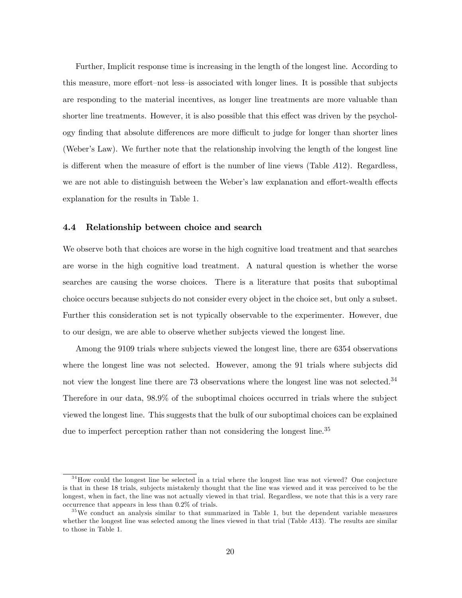Further, Implicit response time is increasing in the length of the longest line. According to this measure, more effort–not less–is associated with longer lines. It is possible that subjects are responding to the material incentives, as longer line treatments are more valuable than shorter line treatments. However, it is also possible that this effect was driven by the psychology finding that absolute differences are more difficult to judge for longer than shorter lines (Weber's Law). We further note that the relationship involving the length of the longest line is different when the measure of effort is the number of line views (Table  $A12$ ). Regardless, we are not able to distinguish between the Weber's law explanation and effort-wealth effects explanation for the results in Table 1.

#### 4.4 Relationship between choice and search

We observe both that choices are worse in the high cognitive load treatment and that searches are worse in the high cognitive load treatment. A natural question is whether the worse searches are causing the worse choices. There is a literature that posits that suboptimal choice occurs because subjects do not consider every object in the choice set, but only a subset. Further this consideration set is not typically observable to the experimenter. However, due to our design, we are able to observe whether subjects viewed the longest line.

Among the 9109 trials where subjects viewed the longest line, there are 6354 observations where the longest line was not selected. However, among the 91 trials where subjects did not view the longest line there are 73 observations where the longest line was not selected.<sup>34</sup> Therefore in our data, 98:9% of the suboptimal choices occurred in trials where the subject viewed the longest line. This suggests that the bulk of our suboptimal choices can be explained due to imperfect perception rather than not considering the longest line.<sup>35</sup>

 $34$ How could the longest line be selected in a trial where the longest line was not viewed? One conjecture is that in these 18 trials, subjects mistakenly thought that the line was viewed and it was perceived to be the longest, when in fact, the line was not actually viewed in that trial. Regardless, we note that this is a very rare occurrence that appears in less than 0:2% of trials.

 $35\,\text{We conduct an analysis similar to that summarized in Table 1, but the dependent variable measures}$ whether the longest line was selected among the lines viewed in that trial (Table A13). The results are similar to those in Table 1.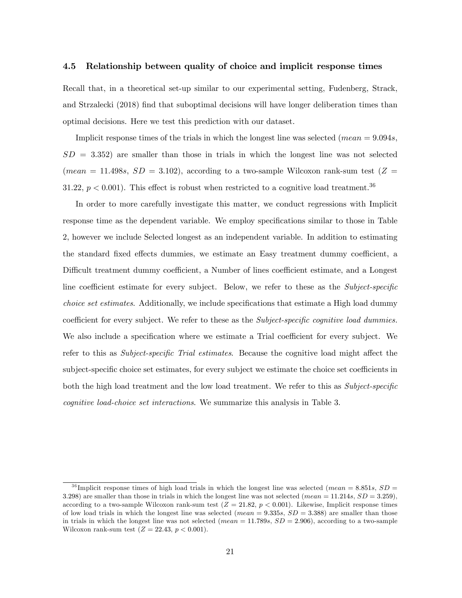#### 4.5 Relationship between quality of choice and implicit response times

Recall that, in a theoretical set-up similar to our experimental setting, Fudenberg, Strack, and Strzalecki (2018) Önd that suboptimal decisions will have longer deliberation times than optimal decisions. Here we test this prediction with our dataset.

Implicit response times of the trials in which the longest line was selected (*mean*  $= 9.094s$ ,  $SD = 3.352$ ) are smaller than those in trials in which the longest line was not selected (mean = 11.498s,  $SD = 3.102$ ), according to a two-sample Wilcoxon rank-sum test (Z = 31.22,  $p < 0.001$ ). This effect is robust when restricted to a cognitive load treatment.<sup>36</sup>

In order to more carefully investigate this matter, we conduct regressions with Implicit response time as the dependent variable. We employ specifications similar to those in Table 2, however we include Selected longest as an independent variable. In addition to estimating the standard fixed effects dummies, we estimate an Easy treatment dummy coefficient, a Difficult treatment dummy coefficient, a Number of lines coefficient estimate, and a Longest line coefficient estimate for every subject. Below, we refer to these as the Subject-specific choice set estimates. Additionally, we include specifications that estimate a High load dummy coefficient for every subject. We refer to these as the *Subject-specific cognitive load dummies*. We also include a specification where we estimate a Trial coefficient for every subject. We refer to this as Subject-specific Trial estimates. Because the cognitive load might affect the subject-specific choice set estimates, for every subject we estimate the choice set coefficients in both the high load treatment and the low load treatment. We refer to this as Subject-specific cognitive load-choice set interactions. We summarize this analysis in Table 3.

<sup>&</sup>lt;sup>36</sup> Implicit response times of high load trials in which the longest line was selected (mean = 8.851s,  $SD =$ 3.298) are smaller than those in trials in which the longest line was not selected (mean = 11.214s,  $SD = 3.259$ ). according to a two-sample Wilcoxon rank-sum test  $(Z = 21.82, p < 0.001)$ . Likewise, Implicit response times of low load trials in which the longest line was selected (mean =  $9.335s$ ,  $SD = 3.388$ ) are smaller than those in trials in which the longest line was not selected (mean  $= 11.789s$ ,  $SD = 2.906$ ), according to a two-sample Wilcoxon rank-sum test  $(Z = 22.43, p < 0.001)$ .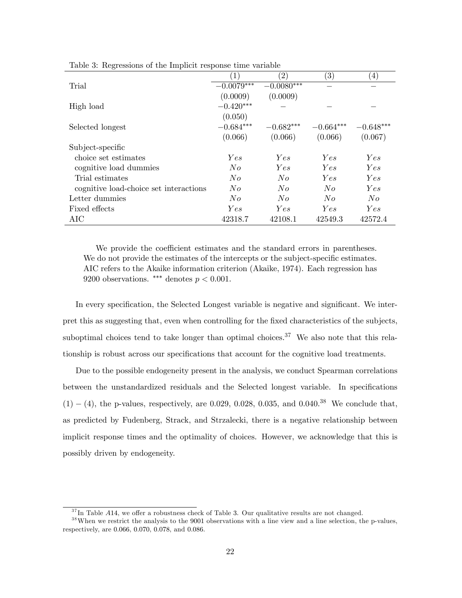| $\left( 2\right)$<br>$\left( 3\right)$<br>$\left(4\right)$<br>$\left(1\right)$<br>$-0.0079***$<br>$-0.0080***$<br>Trial<br>(0.0009)<br>(0.0009)<br>$-0.420***$<br>High load<br>(0.050)<br>$-0.682***$<br>$-0.684***$<br>$-0.664***$<br>$-0.648***$<br>Selected longest<br>(0.066)<br>(0.066)<br>(0.066)<br>(0.067)<br>Subject-specific<br>choice set estimates<br>Yes<br>Yes<br>Yes<br>Yes<br>$N_{O}$<br>Yes<br>Yes<br>Yes<br>cognitive load dummies<br>Trial estimates<br>No<br>No<br>Yes<br>Yes |                                        |         |         |         |     |
|---------------------------------------------------------------------------------------------------------------------------------------------------------------------------------------------------------------------------------------------------------------------------------------------------------------------------------------------------------------------------------------------------------------------------------------------------------------------------------------------------|----------------------------------------|---------|---------|---------|-----|
|                                                                                                                                                                                                                                                                                                                                                                                                                                                                                                   |                                        |         |         |         |     |
|                                                                                                                                                                                                                                                                                                                                                                                                                                                                                                   |                                        |         |         |         |     |
|                                                                                                                                                                                                                                                                                                                                                                                                                                                                                                   |                                        |         |         |         |     |
|                                                                                                                                                                                                                                                                                                                                                                                                                                                                                                   |                                        |         |         |         |     |
|                                                                                                                                                                                                                                                                                                                                                                                                                                                                                                   |                                        |         |         |         |     |
|                                                                                                                                                                                                                                                                                                                                                                                                                                                                                                   |                                        |         |         |         |     |
|                                                                                                                                                                                                                                                                                                                                                                                                                                                                                                   |                                        |         |         |         |     |
|                                                                                                                                                                                                                                                                                                                                                                                                                                                                                                   |                                        |         |         |         |     |
|                                                                                                                                                                                                                                                                                                                                                                                                                                                                                                   |                                        |         |         |         |     |
|                                                                                                                                                                                                                                                                                                                                                                                                                                                                                                   |                                        |         |         |         |     |
|                                                                                                                                                                                                                                                                                                                                                                                                                                                                                                   |                                        |         |         |         |     |
|                                                                                                                                                                                                                                                                                                                                                                                                                                                                                                   | cognitive load-choice set interactions | $N_{O}$ | $N_{O}$ | $N_{O}$ | Yes |
| $N_{O}$<br>$N_{O}$<br>Letter dummies<br>N o<br>$N_{O}$                                                                                                                                                                                                                                                                                                                                                                                                                                            |                                        |         |         |         |     |
| Fixed effects<br>Yes<br>Yes<br>Yes<br>Yes                                                                                                                                                                                                                                                                                                                                                                                                                                                         |                                        |         |         |         |     |
| AIC<br>42318.7<br>42108.1<br>42549.3<br>42572.4                                                                                                                                                                                                                                                                                                                                                                                                                                                   |                                        |         |         |         |     |

Table 3: Regressions of the Implicit response time variable

We provide the coefficient estimates and the standard errors in parentheses. We do not provide the estimates of the intercepts or the subject-specific estimates. AIC refers to the Akaike information criterion (Akaike, 1974). Each regression has 9200 observations. \*\*\* denotes  $p < 0.001$ .

In every specification, the Selected Longest variable is negative and significant. We interpret this as suggesting that, even when controlling for the fixed characteristics of the subjects, suboptimal choices tend to take longer than optimal choices.<sup>37</sup> We also note that this relationship is robust across our specifications that account for the cognitive load treatments.

Due to the possible endogeneity present in the analysis, we conduct Spearman correlations between the unstandardized residuals and the Selected longest variable. In specifications  $(1) - (4)$ , the p-values, respectively, are 0.029, 0.028, 0.035, and 0.040.<sup>38</sup> We conclude that, as predicted by Fudenberg, Strack, and Strzalecki, there is a negative relationship between implicit response times and the optimality of choices. However, we acknowledge that this is possibly driven by endogeneity.

 $37 \text{ In Table } A14$ , we offer a robustness check of Table 3. Our qualitative results are not changed.

<sup>&</sup>lt;sup>38</sup>When we restrict the analysis to the 9001 observations with a line view and a line selection, the p-values, respectively, are 0:066, 0:070, 0:078, and 0:086.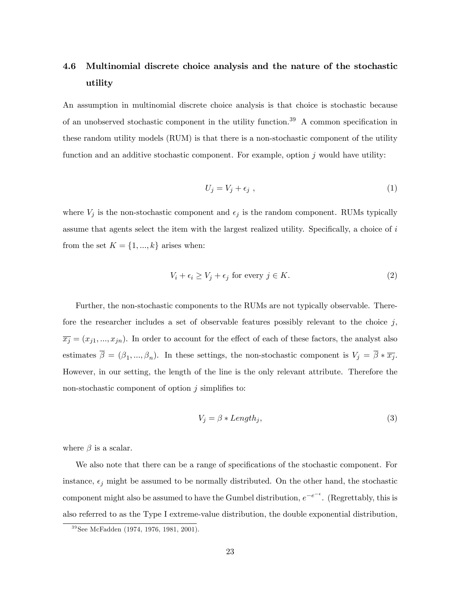# 4.6 Multinomial discrete choice analysis and the nature of the stochastic utility

An assumption in multinomial discrete choice analysis is that choice is stochastic because of an unobserved stochastic component in the utility function.<sup>39</sup> A common specification in these random utility models (RUM) is that there is a non-stochastic component of the utility function and an additive stochastic component. For example, option  $j$  would have utility:

$$
U_j = V_j + \epsilon_j \tag{1}
$$

where  $V_j$  is the non-stochastic component and  $\epsilon_j$  is the random component. RUMs typically assume that agents select the item with the largest realized utility. Specifically, a choice of  $i$ from the set  $K = \{1, ..., k\}$  arises when:

$$
V_i + \epsilon_i \ge V_j + \epsilon_j \text{ for every } j \in K. \tag{2}
$$

Further, the non-stochastic components to the RUMs are not typically observable. Therefore the researcher includes a set of observable features possibly relevant to the choice  $j$ ,  $\overline{x_j} = (x_{j1},...,x_{jn}).$  In order to account for the effect of each of these factors, the analyst also estimates  $\beta = (\beta_1, ..., \beta_n)$ . In these settings, the non-stochastic component is  $V_j = \beta * \overline{x_j}$ . However, in our setting, the length of the line is the only relevant attribute. Therefore the non-stochastic component of option  $i$  simplifies to:

$$
V_j = \beta * Length_j,\tag{3}
$$

where  $\beta$  is a scalar.

We also note that there can be a range of specifications of the stochastic component. For instance,  $\epsilon_j$  might be assumed to be normally distributed. On the other hand, the stochastic component might also be assumed to have the Gumbel distribution,  $e^{-e^{-\epsilon}}$ . (Regrettably, this is also referred to as the Type I extreme-value distribution, the double exponential distribution,

<sup>&</sup>lt;sup>39</sup> See McFadden (1974, 1976, 1981, 2001).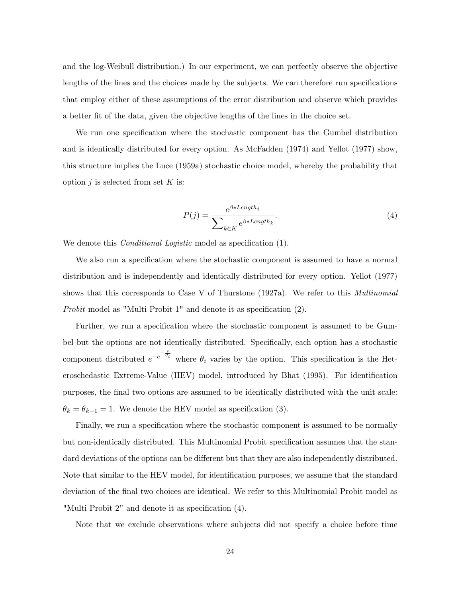and the log-Weibull distribution.) In our experiment, we can perfectly observe the objective lengths of the lines and the choices made by the subjects. We can therefore run specifications that employ either of these assumptions of the error distribution and observe which provides a better Öt of the data, given the objective lengths of the lines in the choice set.

We run one specification where the stochastic component has the Gumbel distribution and is identically distributed for every option. As McFadden (1974) and Yellot (1977) show, this structure implies the Luce (1959a) stochastic choice model, whereby the probability that option  $j$  is selected from set  $K$  is:

$$
P(j) = \frac{e^{\beta * Length_j}}{\sum_{k \in K} e^{\beta * Length_k}}.
$$
\n
$$
(4)
$$

We denote this *Conditional Logistic* model as specification (1).

We also run a specification where the stochastic component is assumed to have a normal distribution and is independently and identically distributed for every option. Yellot (1977) shows that this corresponds to Case V of Thurstone (1927a). We refer to this *Multinomial* Probit model as "Multi Probit  $1$ " and denote it as specification  $(2)$ .

Further, we run a specification where the stochastic component is assumed to be Gumbel but the options are not identically distributed. Specifically, each option has a stochastic component distributed  $e^{-e^{-\frac{\epsilon}{\theta_i}}}$  where  $\theta_i$  varies by the option. This specification is the Heteroschedastic Extreme-Value (HEV) model, introduced by Bhat (1995). For identification purposes, the Önal two options are assumed to be identically distributed with the unit scale:  $\theta_k = \theta_{k-1} = 1$ . We denote the HEV model as specification (3).

Finally, we run a specification where the stochastic component is assumed to be normally but non-identically distributed. This Multinomial Probit specification assumes that the standard deviations of the options can be different but that they are also independently distributed. Note that similar to the HEV model, for identification purposes, we assume that the standard deviation of the Önal two choices are identical. We refer to this Multinomial Probit model as "Multi Probit  $2$ " and denote it as specification  $(4)$ .

Note that we exclude observations where subjects did not specify a choice before time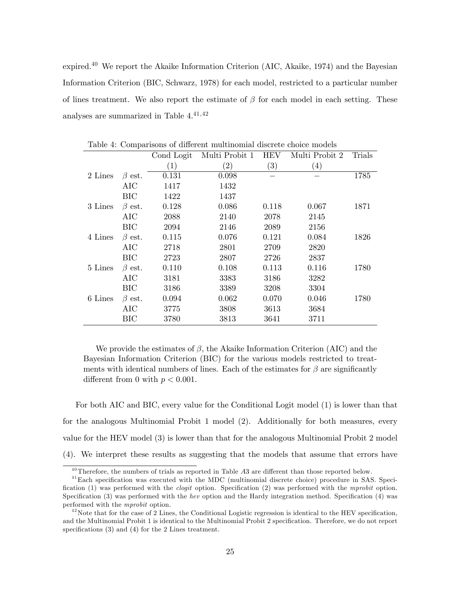expired.<sup>40</sup> We report the Akaike Information Criterion (AIC, Akaike, 1974) and the Bayesian Information Criterion (BIC, Schwarz, 1978) for each model, restricted to a particular number of lines treatment. We also report the estimate of  $\beta$  for each model in each setting. These analyses are summarized in Table  $4^{,41,42}$ 

|         |              | Cond Logit       | Multi Probit 1 | <b>HEV</b>        | Multi Probit 2   | Trials |
|---------|--------------|------------------|----------------|-------------------|------------------|--------|
|         |              | $\left(1\right)$ | (2)            | $\left( 3\right)$ | $\left(4\right)$ |        |
| 2 Lines | $\beta$ est. | 0.131            | 0.098          |                   |                  | 1785   |
|         | AIC          | 1417             | 1432           |                   |                  |        |
|         | ВIС          | 1422             | 1437           |                   |                  |        |
| 3 Lines | $\beta$ est. | 0.128            | 0.086          | 0.118             | 0.067            | 1871   |
|         | AIC          | 2088             | 2140           | 2078              | 2145             |        |
|         | BIC          | 2094             | 2146           | 2089              | 2156             |        |
| 4 Lines | $\beta$ est. | 0.115            | 0.076          | 0.121             | 0.084            | 1826   |
|         | AIC          | 2718             | 2801           | 2709              | 2820             |        |
|         | ВIС          | 2723             | 2807           | 2726              | 2837             |        |
| 5 Lines | $\beta$ est. | 0.110            | 0.108          | 0.113             | 0.116            | 1780   |
|         | AIC          | 3181             | 3383           | 3186              | 3282             |        |
|         | <b>BIC</b>   | 3186             | 3389           | 3208              | 3304             |        |
| 6 Lines | $\beta$ est. | 0.094            | 0.062          | 0.070             | 0.046            | 1780   |
|         | AIC          | 3775             | 3808           | 3613              | 3684             |        |
|         | ВIС          | 3780             | 3813           | 3641              | 3711             |        |

Table 4: Comparisons of different multinomial discrete choice models

We provide the estimates of  $\beta$ , the Akaike Information Criterion (AIC) and the Bayesian Information Criterion (BIC) for the various models restricted to treatments with identical numbers of lines. Each of the estimates for  $\beta$  are significantly different from 0 with  $p < 0.001$ .

For both AIC and BIC, every value for the Conditional Logit model (1) is lower than that for the analogous Multinomial Probit 1 model (2). Additionally for both measures, every value for the HEV model (3) is lower than that for the analogous Multinomial Probit 2 model (4). We interpret these results as suggesting that the models that assume that errors have

 $^{40}$ Therefore, the numbers of trials as reported in Table  $A3$  are different than those reported below.

 $^{41}$ Each specification was executed with the MDC (multinomial discrete choice) procedure in SAS. Specification (1) was performed with the *clogit* option. Specification (2) was performed with the mprobit option. Specification (3) was performed with the hev option and the Hardy integration method. Specification (4) was performed with the mprobit option.

 $^{42}$ Note that for the case of 2 Lines, the Conditional Logistic regression is identical to the HEV specification, and the Multinomial Probit 1 is identical to the Multinomial Probit 2 specification. Therefore, we do not report specifications  $(3)$  and  $(4)$  for the 2 Lines treatment.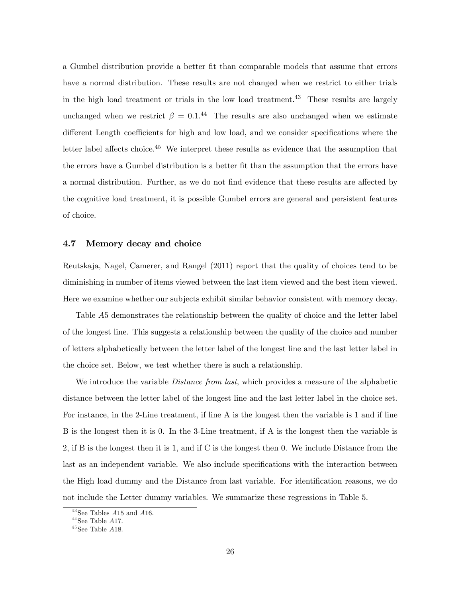a Gumbel distribution provide a better Öt than comparable models that assume that errors have a normal distribution. These results are not changed when we restrict to either trials in the high load treatment or trials in the low load treatment.<sup>43</sup> These results are largely unchanged when we restrict  $\beta = 0.1$ .<sup>44</sup> The results are also unchanged when we estimate different Length coefficients for high and low load, and we consider specifications where the letter label affects choice.<sup>45</sup> We interpret these results as evidence that the assumption that the errors have a Gumbel distribution is a better Öt than the assumption that the errors have a normal distribution. Further, as we do not find evidence that these results are affected by the cognitive load treatment, it is possible Gumbel errors are general and persistent features of choice.

#### 4.7 Memory decay and choice

Reutskaja, Nagel, Camerer, and Rangel (2011) report that the quality of choices tend to be diminishing in number of items viewed between the last item viewed and the best item viewed. Here we examine whether our subjects exhibit similar behavior consistent with memory decay.

Table A5 demonstrates the relationship between the quality of choice and the letter label of the longest line. This suggests a relationship between the quality of the choice and number of letters alphabetically between the letter label of the longest line and the last letter label in the choice set. Below, we test whether there is such a relationship.

We introduce the variable *Distance from last*, which provides a measure of the alphabetic distance between the letter label of the longest line and the last letter label in the choice set. For instance, in the 2-Line treatment, if line A is the longest then the variable is 1 and if line B is the longest then it is 0. In the 3-Line treatment, if A is the longest then the variable is 2, if B is the longest then it is 1, and if C is the longest then 0. We include Distance from the last as an independent variable. We also include specifications with the interaction between the High load dummy and the Distance from last variable. For identification reasons, we do not include the Letter dummy variables. We summarize these regressions in Table 5.

 $43$  See Tables A15 and A16.

 $44$  See Table A17.

 $^{45}\mathrm{See}$  Table  $A18.$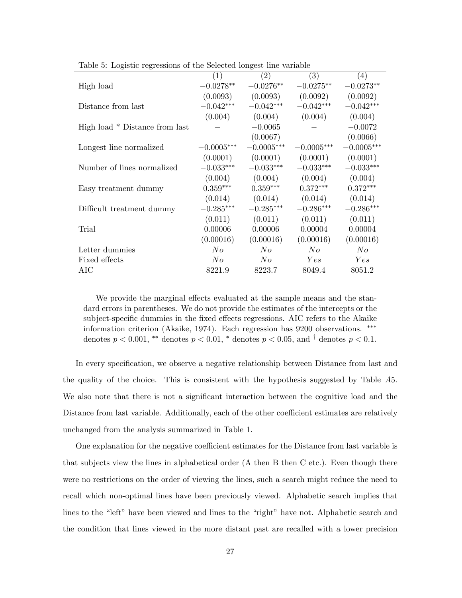|                                  | (1)          | (2)          | $\left(3\right)$ | $\left(4\right)$ |
|----------------------------------|--------------|--------------|------------------|------------------|
| High load                        | $-0.0278**$  | $-0.0276**$  | $-0.0275**$      | $-0.0273**$      |
|                                  | (0.0093)     | (0.0093)     | (0.0092)         | (0.0092)         |
| Distance from last               | $-0.042***$  | $-0.042***$  | $-0.042***$      | $-0.042***$      |
|                                  | (0.004)      | (0.004)      | (0.004)          | (0.004)          |
| High load $*$ Distance from last |              | $-0.0065$    |                  | $-0.0072$        |
|                                  |              | (0.0067)     |                  | (0.0066)         |
| Longest line normalized          | $-0.0005***$ | $-0.0005***$ | $-0.0005***$     | $-0.0005***$     |
|                                  | (0.0001)     | (0.0001)     | (0.0001)         | (0.0001)         |
| Number of lines normalized       | $-0.033***$  | $-0.033***$  | $-0.033***$      | $-0.033***$      |
|                                  | (0.004)      | (0.004)      | (0.004)          | (0.004)          |
| Easy treatment dummy             | $0.359***$   | $0.359***$   | $0.372***$       | $0.372***$       |
|                                  | (0.014)      | (0.014)      | (0.014)          | (0.014)          |
| Difficult treatment dummy        | $-0.285***$  | $-0.285***$  | $-0.286***$      | $-0.286***$      |
|                                  | (0.011)      | (0.011)      | (0.011)          | (0.011)          |
| Trial                            | 0.00006      | 0.00006      | 0.00004          | 0.00004          |
|                                  | (0.00016)    | (0.00016)    | (0.00016)        | (0.00016)        |
| Letter dummies                   | N o          | $N_{O}$      | N o              | $N_{O}$          |
| Fixed effects                    | N o          | N o          | Yes              | Yes              |
| AIC                              | 8221.9       | 8223.7       | 8049.4           | 8051.2           |

Table 5: Logistic regressions of the Selected longest line variable

We provide the marginal effects evaluated at the sample means and the standard errors in parentheses. We do not provide the estimates of the intercepts or the subject-specific dummies in the fixed effects regressions. AIC refers to the Akaike information criterion (Akaike, 1974). Each regression has 9200 observations. denotes  $p < 0.001$ , \*\* denotes  $p < 0.01$ , \* denotes  $p < 0.05$ , and <sup>†</sup> denotes  $p < 0.1$ .

In every specification, we observe a negative relationship between Distance from last and the quality of the choice. This is consistent with the hypothesis suggested by Table A5. We also note that there is not a significant interaction between the cognitive load and the Distance from last variable. Additionally, each of the other coefficient estimates are relatively unchanged from the analysis summarized in Table 1.

One explanation for the negative coefficient estimates for the Distance from last variable is that subjects view the lines in alphabetical order (A then B then C etc.). Even though there were no restrictions on the order of viewing the lines, such a search might reduce the need to recall which non-optimal lines have been previously viewed. Alphabetic search implies that lines to the "left" have been viewed and lines to the "right" have not. Alphabetic search and the condition that lines viewed in the more distant past are recalled with a lower precision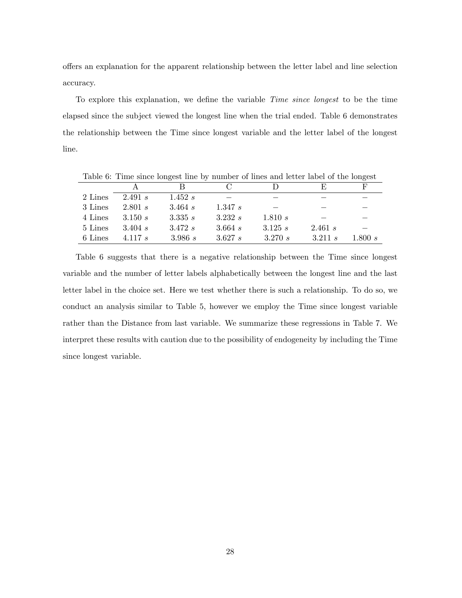offers an explanation for the apparent relationship between the letter label and line selection accuracy.

To explore this explanation, we define the variable *Time since longest* to be the time elapsed since the subject viewed the longest line when the trial ended. Table 6 demonstrates the relationship between the Time since longest variable and the letter label of the longest line.

|         |              | Taple 0. This since foligest line by number of fines and fetter faber of the foligest |            |         |         |           |
|---------|--------------|---------------------------------------------------------------------------------------|------------|---------|---------|-----------|
|         |              |                                                                                       |            |         | н,      | н         |
| 2 Lines | 2.491 s      | 1.452 s                                                                               |            |         |         |           |
| 3 Lines | 2.801 s      | 3.464 s                                                                               | 1.347 s    |         |         |           |
| 4 Lines | 3.150 s      | 3.335 s                                                                               | 3.232 s    | 1.810 s |         |           |
| 5 Lines | $3.404 \; s$ | 3.472 s                                                                               | $3.664\;s$ | 3.125 s | 2.461 s |           |
| 6 Lines | 4.117 $s$    | 3.986 s                                                                               | 3.627 s    | 3.270 s | 3.211 s | 1.800 $s$ |

Table 6: Time since longest line by number of lines and letter label of the longest

Table 6 suggests that there is a negative relationship between the Time since longest variable and the number of letter labels alphabetically between the longest line and the last letter label in the choice set. Here we test whether there is such a relationship. To do so, we conduct an analysis similar to Table 5, however we employ the Time since longest variable rather than the Distance from last variable. We summarize these regressions in Table 7. We interpret these results with caution due to the possibility of endogeneity by including the Time since longest variable.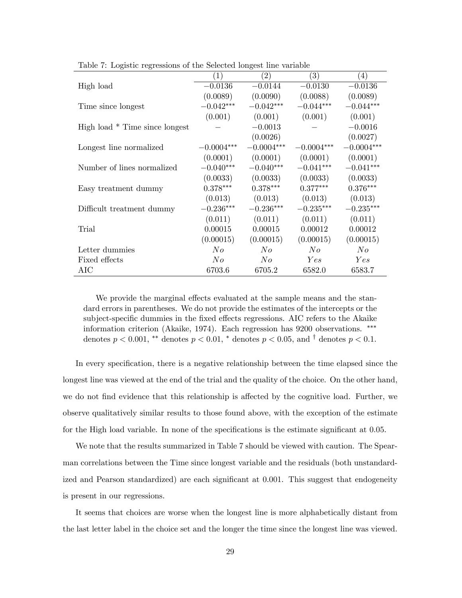|                                  | $\left(1\right)$ | (2)          | $\left(3\right)$ | $\left(4\right)$ |
|----------------------------------|------------------|--------------|------------------|------------------|
| High load                        | $-0.0136$        | $-0.0144$    | $-0.0130$        | $-0.0136$        |
|                                  | (0.0089)         | (0.0090)     | (0.0088)         | (0.0089)         |
| Time since longest               | $-0.042***$      | $-0.042***$  | $-0.044***$      | $-0.044***$      |
|                                  | (0.001)          | (0.001)      | (0.001)          | (0.001)          |
| High load $*$ Time since longest |                  | $-0.0013$    |                  | $-0.0016$        |
|                                  |                  | (0.0026)     |                  | (0.0027)         |
| Longest line normalized          | $-0.0004***$     | $-0.0004***$ | $-0.0004***$     | $-0.0004***$     |
|                                  | (0.0001)         | (0.0001)     | (0.0001)         | (0.0001)         |
| Number of lines normalized       | $-0.040***$      | $-0.040***$  | $-0.041***$      | $-0.041***$      |
|                                  | (0.0033)         | (0.0033)     | (0.0033)         | (0.0033)         |
| Easy treatment dummy             | $0.378***$       | $0.378***$   | $0.377***$       | $0.376***$       |
|                                  | (0.013)          | (0.013)      | (0.013)          | (0.013)          |
| Difficult treatment dummy        | $-0.236***$      | $-0.236***$  | $-0.235***$      | $-0.235***$      |
|                                  | (0.011)          | (0.011)      | (0.011)          | (0.011)          |
| Trial                            | 0.00015          | 0.00015      | 0.00012          | 0.00012          |
|                                  | (0.00015)        | (0.00015)    | (0.00015)        | (0.00015)        |
| Letter dummies                   | N o              | N o          | N o              | N o              |
| Fixed effects                    | N o              | N o          | Yes              | Yes              |
| AIC                              | 6703.6           | 6705.2       | 6582.0           | 6583.7           |

Table 7: Logistic regressions of the Selected longest line variable

We provide the marginal effects evaluated at the sample means and the standard errors in parentheses. We do not provide the estimates of the intercepts or the subject-specific dummies in the fixed effects regressions. AIC refers to the Akaike information criterion (Akaike, 1974). Each regression has 9200 observations. denotes  $p < 0.001$ , \*\* denotes  $p < 0.01$ , \* denotes  $p < 0.05$ , and <sup>†</sup> denotes  $p < 0.1$ .

In every specification, there is a negative relationship between the time elapsed since the longest line was viewed at the end of the trial and the quality of the choice. On the other hand, we do not find evidence that this relationship is affected by the cognitive load. Further, we observe qualitatively similar results to those found above, with the exception of the estimate for the High load variable. In none of the specifications is the estimate significant at 0.05.

We note that the results summarized in Table 7 should be viewed with caution. The Spearman correlations between the Time since longest variable and the residuals (both unstandardized and Pearson standardized) are each significant at 0.001. This suggest that endogeneity is present in our regressions.

It seems that choices are worse when the longest line is more alphabetically distant from the last letter label in the choice set and the longer the time since the longest line was viewed.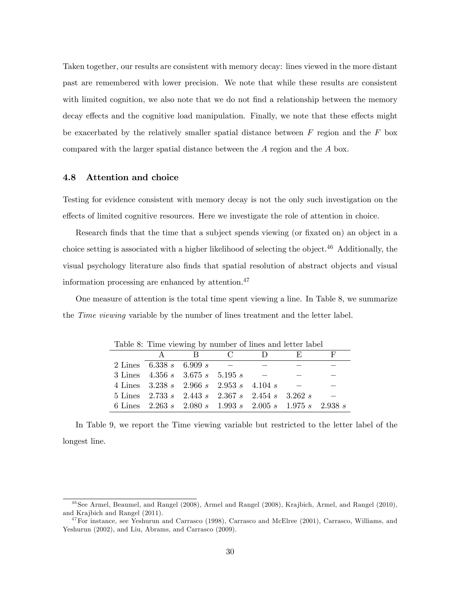Taken together, our results are consistent with memory decay: lines viewed in the more distant past are remembered with lower precision. We note that while these results are consistent with limited cognition, we also note that we do not find a relationship between the memory decay effects and the cognitive load manipulation. Finally, we note that these effects might be exacerbated by the relatively smaller spatial distance between  $F$  region and the  $F$  box compared with the larger spatial distance between the A region and the A box.

#### 4.8 Attention and choice

Testing for evidence consistent with memory decay is not the only such investigation on the effects of limited cognitive resources. Here we investigate the role of attention in choice.

Research finds that the time that a subject spends viewing (or fixated on) an object in a choice setting is associated with a higher likelihood of selecting the object.<sup>46</sup> Additionally, the visual psychology literature also finds that spatial resolution of abstract objects and visual information processing are enhanced by attention. $47$ 

One measure of attention is the total time spent viewing a line. In Table 8, we summarize the *Time viewing* variable by the number of lines treatment and the letter label.

| Taste of This Howing sy humber of filles and focus raser            |     |               |        |        |              |
|---------------------------------------------------------------------|-----|---------------|--------|--------|--------------|
|                                                                     | A R | $\sim$ $\sim$ | $\Box$ | - F) - | $H^{\prime}$ |
| 2 Lines 6.338 s 6.909 s                                             |     |               |        |        |              |
| 3 Lines $4.356 s$ $3.675 s$ $5.195 s$                               |     |               |        |        |              |
| 4 Lines $3.238 s$ $2.966 s$ $2.953 s$ $4.104 s$                     |     |               |        |        |              |
| 5 Lines $2.733 s$ $2.443 s$ $2.367 s$ $2.454 s$ $3.262 s$           |     |               |        |        |              |
| 6 Lines $2.263 s$ $2.080 s$ $1.993 s$ $2.005 s$ $1.975 s$ $2.938 s$ |     |               |        |        |              |

Table 8: Time viewing by number of lines and letter label

In Table 9, we report the Time viewing variable but restricted to the letter label of the longest line.

 $^{46}$ See Armel, Beaumel, and Rangel (2008), Armel and Rangel (2008), Krajbich, Armel, and Rangel (2010), and Krajbich and Rangel (2011).

<sup>&</sup>lt;sup>47</sup>For instance, see Yeshurun and Carrasco (1998), Carrasco and McElree (2001), Carrasco, Williams, and Yeshurun (2002), and Liu, Abrams, and Carrasco (2009).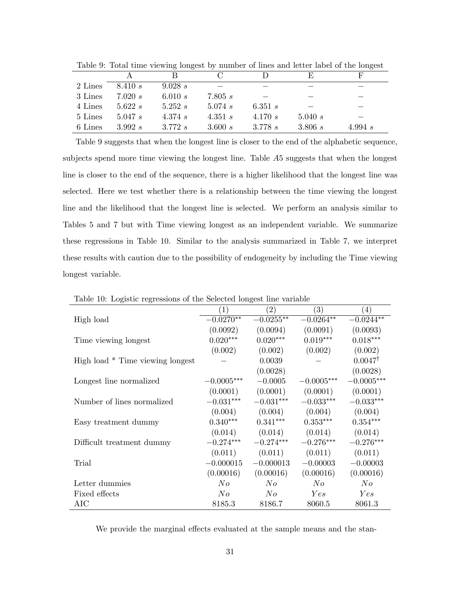|         |         |         |              |           | E,      | F         |
|---------|---------|---------|--------------|-----------|---------|-----------|
| 2 Lines | 8.410 s | 9.028 s |              |           |         |           |
| 3 Lines | 7.020 s | 6.010 s | 7.805 s      |           |         |           |
| 4 Lines | 5.622 s | 5.252 s | $5.074 \; s$ | 6.351 $s$ |         |           |
| 5 Lines | 5.047 s | 4.374 s | 4.351 $s$    | 4.170 $s$ | 5.040 s |           |
| 6 Lines | 3.992 s | 3.772 s | 3.600 s      | 3.778 s   | 3.806 s | 4.994 $s$ |

Table 9: Total time viewing longest by number of lines and letter label of the longest

Table 9 suggests that when the longest line is closer to the end of the alphabetic sequence, subjects spend more time viewing the longest line. Table A5 suggests that when the longest line is closer to the end of the sequence, there is a higher likelihood that the longest line was selected. Here we test whether there is a relationship between the time viewing the longest line and the likelihood that the longest line is selected. We perform an analysis similar to Tables 5 and 7 but with Time viewing longest as an independent variable. We summarize these regressions in Table 10. Similar to the analysis summarized in Table 7, we interpret these results with caution due to the possibility of endogeneity by including the Time viewing longest variable.

|                                  | $\left(1\right)$ | (2)         | (3)                           | $\left(4\right)$   |
|----------------------------------|------------------|-------------|-------------------------------|--------------------|
| High load                        | $-0.0270**$      | $-0.0255**$ | $-0.0264**$                   | $-0.0244**$        |
|                                  | (0.0092)         | (0.0094)    | (0.0091)                      | (0.0093)           |
| Time viewing longest             | $0.020***$       | $0.020***$  | $0.019***$                    | $0.018***$         |
|                                  | (0.002)          | (0.002)     | (0.002)                       | (0.002)            |
| High load * Time viewing longest |                  | 0.0039      |                               | $0.0047^{\dagger}$ |
|                                  |                  | (0.0028)    |                               | (0.0028)           |
| Longest line normalized          | $-0.0005***$     | $-0.0005$   | $-0.0005***$                  | $-0.0005***$       |
|                                  | (0.0001)         |             | $(0.0001)$ $(0.0001)$         | (0.0001)           |
| Number of lines normalized       | $-0.031***$      | $-0.031***$ | $-0.033***$                   | $-0.033***$        |
|                                  | (0.004)          | (0.004)     | (0.004)                       | (0.004)            |
| Easy treatment dummy             | $0.340***$       | $0.341***$  | $0.353***$                    | $0.354***$         |
|                                  |                  |             | $(0.014)$ $(0.014)$ $(0.014)$ | (0.014)            |
| Difficult treatment dummy        | $-0.274***$      | $-0.274***$ | $-0.276***$                   | $-0.276***$        |
|                                  | (0.011)          | (0.011)     | (0.011)                       | (0.011)            |
| Trial                            | $-0.000015$      | $-0.000013$ | $-0.00003$                    | $-0.00003$         |
|                                  | (0.00016)        | (0.00016)   | (0.00016)                     | (0.00016)          |
| Letter dummies                   | No               | No          | No                            | N o                |
| Fixed effects                    | No               | No          | Yes                           | Yes                |
| AIC                              | 8185.3           | 8186.7      | 8060.5                        | 8061.3             |

Table 10: Logistic regressions of the Selected longest line variable

We provide the marginal effects evaluated at the sample means and the stan-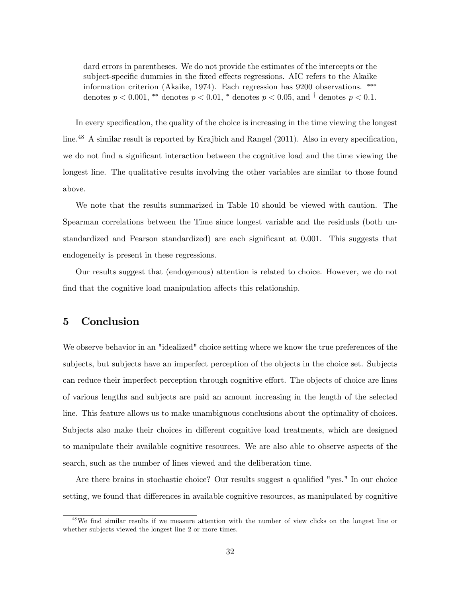dard errors in parentheses. We do not provide the estimates of the intercepts or the subject-specific dummies in the fixed effects regressions. AIC refers to the Akaike information criterion (Akaike, 1974). Each regression has 9200 observations. denotes  $p < 0.001$ , \*\* denotes  $p < 0.01$ , \* denotes  $p < 0.05$ , and <sup>†</sup> denotes  $p < 0.1$ .

In every specification, the quality of the choice is increasing in the time viewing the longest line.<sup>48</sup> A similar result is reported by Krajbich and Rangel (2011). Also in every specification, we do not find a significant interaction between the cognitive load and the time viewing the longest line. The qualitative results involving the other variables are similar to those found above.

We note that the results summarized in Table 10 should be viewed with caution. The Spearman correlations between the Time since longest variable and the residuals (both unstandardized and Pearson standardized) are each significant at  $0.001$ . This suggests that endogeneity is present in these regressions.

Our results suggest that (endogenous) attention is related to choice. However, we do not find that the cognitive load manipulation affects this relationship.

## 5 Conclusion

We observe behavior in an "idealized" choice setting where we know the true preferences of the subjects, but subjects have an imperfect perception of the objects in the choice set. Subjects can reduce their imperfect perception through cognitive effort. The objects of choice are lines of various lengths and subjects are paid an amount increasing in the length of the selected line. This feature allows us to make unambiguous conclusions about the optimality of choices. Subjects also make their choices in different cognitive load treatments, which are designed to manipulate their available cognitive resources. We are also able to observe aspects of the search, such as the number of lines viewed and the deliberation time.

Are there brains in stochastic choice? Our results suggest a qualified "yes." In our choice setting, we found that differences in available cognitive resources, as manipulated by cognitive

<sup>&</sup>lt;sup>48</sup>We find similar results if we measure attention with the number of view clicks on the longest line or whether subjects viewed the longest line 2 or more times.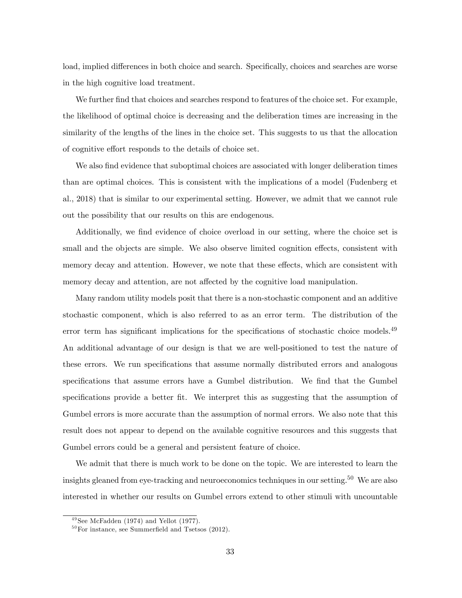load, implied differences in both choice and search. Specifically, choices and searches are worse in the high cognitive load treatment.

We further find that choices and searches respond to features of the choice set. For example, the likelihood of optimal choice is decreasing and the deliberation times are increasing in the similarity of the lengths of the lines in the choice set. This suggests to us that the allocation of cognitive effort responds to the details of choice set.

We also find evidence that suboptimal choices are associated with longer deliberation times than are optimal choices. This is consistent with the implications of a model (Fudenberg et al., 2018) that is similar to our experimental setting. However, we admit that we cannot rule out the possibility that our results on this are endogenous.

Additionally, we find evidence of choice overload in our setting, where the choice set is small and the objects are simple. We also observe limited cognition effects, consistent with memory decay and attention. However, we note that these effects, which are consistent with memory decay and attention, are not affected by the cognitive load manipulation.

Many random utility models posit that there is a non-stochastic component and an additive stochastic component, which is also referred to as an error term. The distribution of the error term has significant implications for the specifications of stochastic choice models.<sup>49</sup> An additional advantage of our design is that we are well-positioned to test the nature of these errors. We run specifications that assume normally distributed errors and analogous specifications that assume errors have a Gumbel distribution. We find that the Gumbel specifications provide a better fit. We interpret this as suggesting that the assumption of Gumbel errors is more accurate than the assumption of normal errors. We also note that this result does not appear to depend on the available cognitive resources and this suggests that Gumbel errors could be a general and persistent feature of choice.

We admit that there is much work to be done on the topic. We are interested to learn the insights gleaned from eye-tracking and neuroeconomics techniques in our setting.<sup>50</sup> We are also interested in whether our results on Gumbel errors extend to other stimuli with uncountable

 $49$  See McFadden (1974) and Yellot (1977).

 $50$  For instance, see Summerfield and Tsetsos (2012).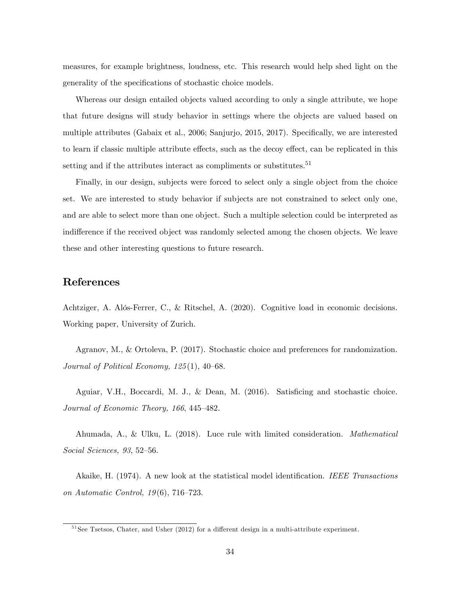measures, for example brightness, loudness, etc. This research would help shed light on the generality of the specifications of stochastic choice models.

Whereas our design entailed objects valued according to only a single attribute, we hope that future designs will study behavior in settings where the objects are valued based on multiple attributes (Gabaix et al., 2006; Sanjurjo, 2015, 2017). Specifically, we are interested to learn if classic multiple attribute effects, such as the decoy effect, can be replicated in this setting and if the attributes interact as compliments or substitutes.<sup>51</sup>

Finally, in our design, subjects were forced to select only a single object from the choice set. We are interested to study behavior if subjects are not constrained to select only one, and are able to select more than one object. Such a multiple selection could be interpreted as indifference if the received object was randomly selected among the chosen objects. We leave these and other interesting questions to future research.

# References

Achtziger, A. AlÛs-Ferrer, C., & Ritschel, A. (2020). Cognitive load in economic decisions. Working paper, University of Zurich.

Agranov, M., & Ortoleva, P. (2017). Stochastic choice and preferences for randomization. Journal of Political Economy,  $125(1)$ ,  $40-68$ .

Aguiar, V.H., Boccardi, M. J., & Dean, M. (2016). Satisficing and stochastic choice. Journal of Economic Theory,  $166, 445-482$ .

Ahumada, A., & Ulku, L. (2018). Luce rule with limited consideration. Mathematical  $Social\, Sciences, \,93, \,52-56.$ 

Akaike, H. (1974). A new look at the statistical model identification. IEEE Transactions on Automatic Control,  $19(6)$ , 716–723.

 $51$ See Tsetsos, Chater, and Usher (2012) for a different design in a multi-attribute experiment.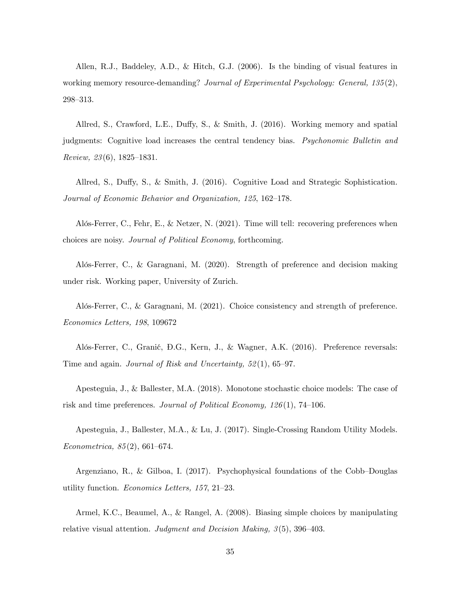Allen, R.J., Baddeley, A.D., & Hitch, G.J. (2006). Is the binding of visual features in working memory resource-demanding? Journal of Experimental Psychology: General, 135(2), 298-313.

Allred, S., Crawford, L.E., Duffy, S., & Smith, J.  $(2016)$ . Working memory and spatial judgments: Cognitive load increases the central tendency bias. Psychonomic Bulletin and Review,  $23(6)$ , 1825–1831.

Allred, S., Duffy, S., & Smith, J. (2016). Cognitive Load and Strategic Sophistication. Journal of Economic Behavior and Organization, 125, 162-178.

Alós-Ferrer, C., Fehr, E., & Netzer, N. (2021). Time will tell: recovering preferences when choices are noisy. Journal of Political Economy, forthcoming.

Alós-Ferrer, C., & Garagnani, M.  $(2020)$ . Strength of preference and decision making under risk. Working paper, University of Zurich.

Alós-Ferrer, C., & Garagnani, M. (2021). Choice consistency and strength of preference. Economics Letters, 198, 109672

Alós-Ferrer, C., Granić, Đ.G., Kern, J., & Wagner, A.K. (2016). Preference reversals: Time and again. Journal of Risk and Uncertainty,  $52(1)$ ,  $65-97$ .

Apesteguia, J., & Ballester, M.A. (2018). Monotone stochastic choice models: The case of risk and time preferences. Journal of Political Economy,  $126(1)$ , 74–106.

Apesteguia, J., Ballester, M.A., & Lu, J. (2017). Single-Crossing Random Utility Models. Econometrica,  $85(2)$ , 661–674.

Argenziano, R., & Gilboa, I.  $(2017)$ . Psychophysical foundations of the Cobb-Douglas utility function. *Economics Letters*,  $157$ ,  $21-23$ .

Armel, K.C., Beaumel, A., & Rangel, A. (2008). Biasing simple choices by manipulating relative visual attention. Judgment and Decision Making,  $3(5)$ , 396–403.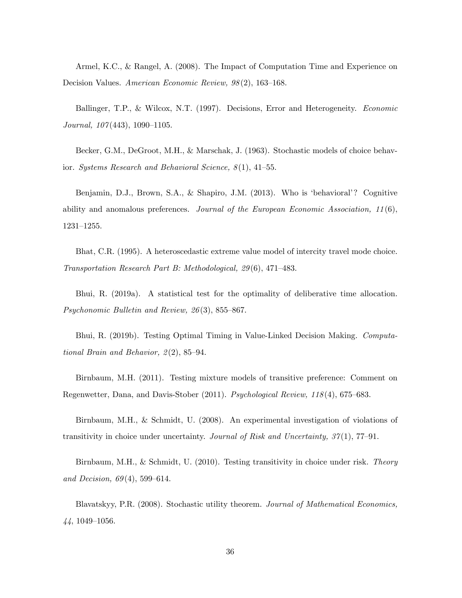Armel, K.C., & Rangel, A. (2008). The Impact of Computation Time and Experience on Decision Values. American Economic Review,  $98(2)$ , 163–168.

Ballinger, T.P., & Wilcox, N.T. (1997). Decisions, Error and Heterogeneity. Economic Journal,  $107(443)$ ,  $1090-1105$ .

Becker, G.M., DeGroot, M.H., & Marschak, J. (1963). Stochastic models of choice behavior. Systems Research and Behavioral Science,  $8(1)$ , 41–55.

Benjamin, D.J., Brown, S.A., & Shapiro, J.M. (2013). Who is 'behavioral'? Cognitive ability and anomalous preferences. Journal of the European Economic Association,  $11(6)$ ,  $1231 - 1255.$ 

Bhat, C.R. (1995). A heteroscedastic extreme value model of intercity travel mode choice. Transportation Research Part B: Methodological,  $29(6)$ , 471–483.

Bhui, R. (2019a). A statistical test for the optimality of deliberative time allocation. Psychonomic Bulletin and Review,  $26(3)$ , 855–867.

Bhui, R. (2019b). Testing Optimal Timing in Value-Linked Decision Making. Computational Brain and Behavior,  $2(2)$ , 85–94.

Birnbaum, M.H. (2011). Testing mixture models of transitive preference: Comment on Regenwetter, Dana, and Davis-Stober  $(2011)$ . *Psychological Review, 118* $(4)$ , 675–683.

Birnbaum, M.H., & Schmidt, U. (2008). An experimental investigation of violations of transitivity in choice under uncertainty. Journal of Risk and Uncertainty,  $37(1)$ , 77-91.

Birnbaum, M.H., & Schmidt, U. (2010). Testing transitivity in choice under risk. Theory and Decision,  $69(4)$ , 599-614.

Blavatskyy, P.R. (2008). Stochastic utility theorem. Journal of Mathematical Economics,  $44, 1049-1056.$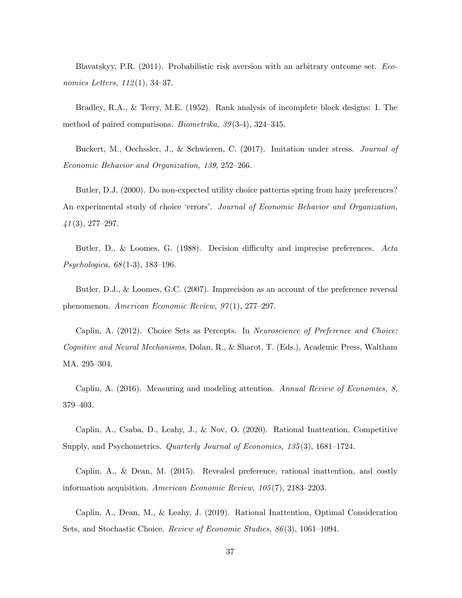Blavatskyy, P.R. (2011). Probabilistic risk aversion with an arbitrary outcome set. Economics Letters,  $112(1)$ , 34–37.

Bradley, R.A., & Terry, M.E. (1952). Rank analysis of incomplete block designs: I. The method of paired comparisons. Biometrika,  $39(3-4)$ ,  $324-345$ .

Buckert, M., Oechssler, J., & Schwieren, C. (2017). Imitation under stress. Journal of Economic Behavior and Organization, 139, 252-266.

Butler, D.J. (2000). Do non-expected utility choice patterns spring from hazy preferences? An experimental study of choice 'errors'. Journal of Economic Behavior and Organization,  $41(3), 277-297.$ 

Butler, D., & Loomes, G.  $(1988)$ . Decision difficulty and imprecise preferences. Acta  $Psychologica, 68(1-3), 183-196.$ 

Butler, D.J., & Loomes, G.C. (2007). Imprecision as an account of the preference reversal phenomenon. American Economic Review,  $97(1)$ , 277–297.

Caplin, A. (2012). Choice Sets as Percepts. In Neuroscience of Preference and Choice: Cognitive and Neural Mechanisms, Dolan, R., & Sharot, T. (Eds.), Academic Press, Waltham MA, 295-304.

Caplin, A. (2016). Measuring and modeling attention. Annual Review of Economics, 8, 379-403.

Caplin, A., Csaba, D., Leahy, J., & Nov, O. (2020). Rational Inattention, Competitive Supply, and Psychometrics. *Quarterly Journal of Economics*,  $135(3)$ ,  $1681-1724$ .

Caplin, A., & Dean, M. (2015). Revealed preference, rational inattention, and costly information acquisition. American Economic Review,  $105(7)$ ,  $2183-2203$ .

Caplin, A., Dean, M., & Leahy, J. (2019). Rational Inattention, Optimal Consideration Sets, and Stochastic Choice. Review of Economic Studies,  $86(3)$ , 1061–1094.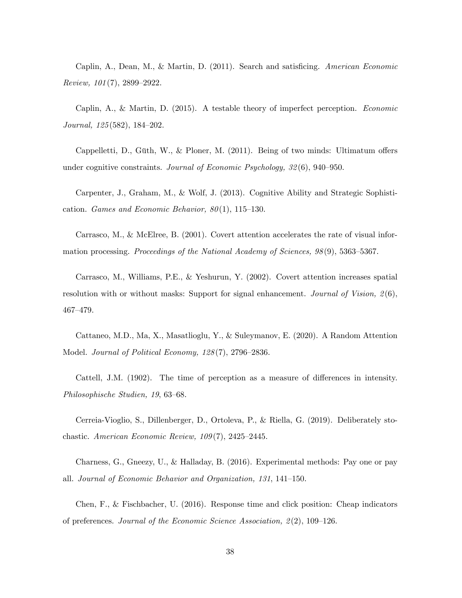Caplin, A., Dean, M., & Martin, D. (2011). Search and satisficing. American Economic Review,  $101(7)$ , 2899-2922.

Caplin, A., & Martin, D. (2015). A testable theory of imperfect perception. Economic Journal,  $125(582)$ ,  $184-202$ .

Cappelletti, D., Güth, W., & Ploner, M.  $(2011)$ . Being of two minds: Ultimatum offers under cognitive constraints. Journal of Economic Psychology,  $32(6)$ , 940–950.

Carpenter, J., Graham, M., & Wolf, J. (2013). Cognitive Ability and Strategic Sophistication. Games and Economic Behavior,  $80(1)$ , 115–130.

Carrasco, M., & McElree, B. (2001). Covert attention accelerates the rate of visual information processing. Proceedings of the National Academy of Sciences,  $98(9)$ , 5363–5367.

Carrasco, M., Williams, P.E., & Yeshurun, Y. (2002). Covert attention increases spatial resolution with or without masks: Support for signal enhancement. Journal of Vision,  $2(6)$ , 467-479.

Cattaneo, M.D., Ma, X., Masatlioglu, Y., & Suleymanov, E. (2020). A Random Attention Model. Journal of Political Economy,  $128(7)$ ,  $2796-2836$ .

Cattell, J.M. (1902). The time of perception as a measure of differences in intensity. Philosophische Studien, 19, 63–68.

Cerreia-Vioglio, S., Dillenberger, D., Ortoleva, P., & Riella, G. (2019). Deliberately stochastic. American Economic Review,  $109(7)$ ,  $2425-2445$ .

Charness, G., Gneezy, U., & Halladay, B. (2016). Experimental methods: Pay one or pay all. Journal of Economic Behavior and Organization,  $131, 141-150$ .

Chen, F., & Fischbacher, U. (2016). Response time and click position: Cheap indicators of preferences. Journal of the Economic Science Association,  $2(2)$ , 109–126.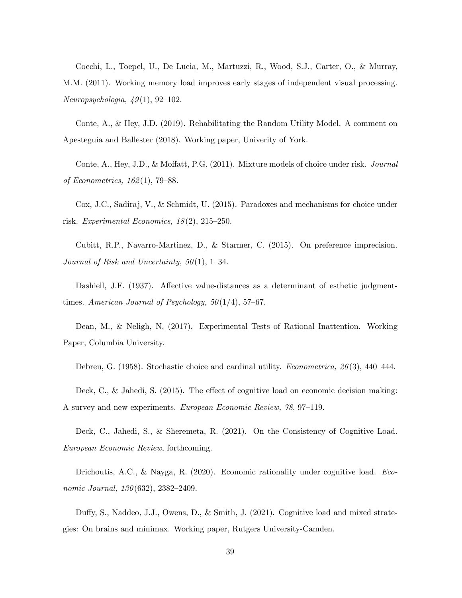Cocchi, L., Toepel, U., De Lucia, M., Martuzzi, R., Wood, S.J., Carter, O., & Murray, M.M. (2011). Working memory load improves early stages of independent visual processing.  $Neuropsychologia, 49(1), 92-102.$ 

Conte, A., & Hey, J.D. (2019). Rehabilitating the Random Utility Model. A comment on Apesteguia and Ballester (2018). Working paper, Univerity of York.

Conte, A., Hey, J.D., & Moffatt, P.G. (2011). Mixture models of choice under risk. *Journal* of Econometrics,  $162(1)$ , 79–88.

Cox, J.C., Sadiraj, V., & Schmidt, U. (2015). Paradoxes and mechanisms for choice under risk. Experimental Economics,  $18(2)$ ,  $215-250$ .

Cubitt, R.P., Navarro-Martinez, D., & Starmer, C. (2015). On preference imprecision. Journal of Risk and Uncertainty,  $50(1)$ , 1–34.

Dashiell, J.F. (1937). Affective value-distances as a determinant of esthetic judgmenttimes. American Journal of Psychology,  $50(1/4)$ , 57-67.

Dean, M., & Neligh, N. (2017). Experimental Tests of Rational Inattention. Working Paper, Columbia University.

Debreu, G. (1958). Stochastic choice and cardinal utility. *Econometrica*,  $26(3)$ ,  $440-444$ .

Deck, C., & Jahedi, S.  $(2015)$ . The effect of cognitive load on economic decision making: A survey and new experiments. European Economic Review, 78, 97–119.

Deck, C., Jahedi, S., & Sheremeta, R. (2021). On the Consistency of Cognitive Load. European Economic Review, forthcoming.

Drichoutis, A.C., & Nayga, R. (2020). Economic rationality under cognitive load. Economic Journal,  $130(632)$ ,  $2382-2409$ .

Duffy, S., Naddeo, J.J., Owens, D., & Smith, J. (2021). Cognitive load and mixed strategies: On brains and minimax. Working paper, Rutgers University-Camden.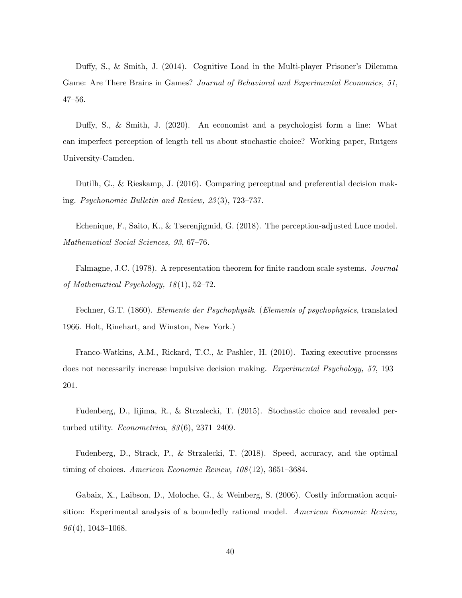Duffy, S., & Smith, J. (2014). Cognitive Load in the Multi-player Prisoner's Dilemma Game: Are There Brains in Games? Journal of Behavioral and Experimental Economics, 51,  $47 - 56$ .

Duffy, S., & Smith, J. (2020). An economist and a psychologist form a line: What can imperfect perception of length tell us about stochastic choice? Working paper, Rutgers University-Camden.

Dutilh, G., & Rieskamp, J. (2016). Comparing perceptual and preferential decision making. Psychonomic Bulletin and Review,  $23(3)$ , 723-737.

Echenique, F., Saito, K., & Tserenjigmid, G. (2018). The perception-adjusted Luce model. Mathematical Social Sciences, 93, 67-76.

Falmagne, J.C. (1978). A representation theorem for finite random scale systems. *Journal* of Mathematical Psychology,  $18(1)$ ,  $52-72$ .

Fechner, G.T. (1860). Elemente der Psychophysik. (Elements of psychophysics, translated 1966. Holt, Rinehart, and Winston, New York.)

Franco-Watkins, A.M., Rickard, T.C., & Pashler, H. (2010). Taxing executive processes does not necessarily increase impulsive decision making. Experimental Psychology,  $57$ , 193– 201.

Fudenberg, D., Iijima, R., & Strzalecki, T. (2015). Stochastic choice and revealed perturbed utility. *Econometrica*,  $83(6)$ ,  $2371-2409$ .

Fudenberg, D., Strack, P., & Strzalecki, T. (2018). Speed, accuracy, and the optimal timing of choices. American Economic Review,  $108(12)$ ,  $3651-3684$ .

Gabaix, X., Laibson, D., Moloche, G., & Weinberg, S. (2006). Costly information acquisition: Experimental analysis of a boundedly rational model. American Economic Review,  $96(4)$ , 1043–1068.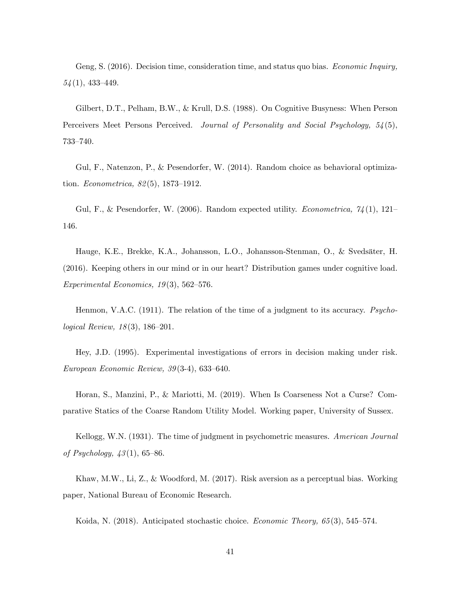Geng, S. (2016). Decision time, consideration time, and status quo bias. *Economic Inquiry*,  $54(1)$ , 433-449.

Gilbert, D.T., Pelham, B.W., & Krull, D.S. (1988). On Cognitive Busyness: When Person Perceivers Meet Persons Perceived. Journal of Personality and Social Psychology, 54(5), 733-740.

Gul, F., Natenzon, P., & Pesendorfer, W. (2014). Random choice as behavioral optimization. *Econometrica*,  $82(5)$ , 1873-1912.

Gul, F., & Pesendorfer, W. (2006). Random expected utility. *Econometrica*,  $\gamma_4(1)$ , 121– 146.

Hauge, K.E., Brekke, K.A., Johansson, L.O., Johansson-Stenman, O., & Sveds‰ter, H. (2016). Keeping others in our mind or in our heart? Distribution games under cognitive load. Experimental Economics,  $19(3)$ , 562–576.

Henmon, V.A.C. (1911). The relation of the time of a judgment to its accuracy. Psychological Review,  $18(3)$ , 186–201.

Hey, J.D. (1995). Experimental investigations of errors in decision making under risk. European Economic Review,  $39(3-4)$ , 633-640.

Horan, S., Manzini, P., & Mariotti, M. (2019). When Is Coarseness Not a Curse? Comparative Statics of the Coarse Random Utility Model. Working paper, University of Sussex.

Kellogg, W.N. (1931). The time of judgment in psychometric measures. American Journal of Psychology,  $43(1)$ , 65–86.

Khaw, M.W., Li, Z., & Woodford, M. (2017). Risk aversion as a perceptual bias. Working paper, National Bureau of Economic Research.

Koida, N. (2018). Anticipated stochastic choice. *Economic Theory*,  $65(3)$ , 545–574.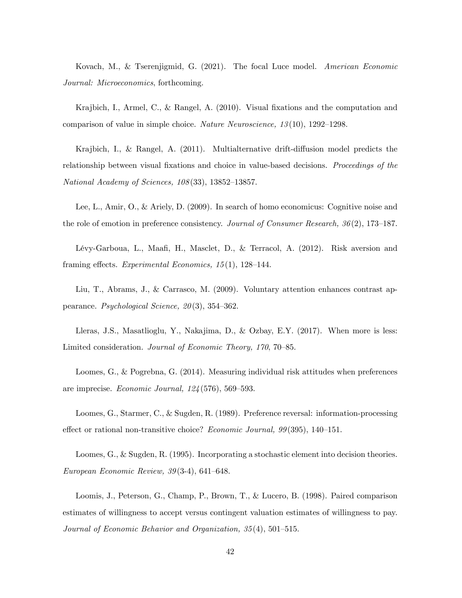Kovach, M., & Tserenjigmid, G. (2021). The focal Luce model. American Economic Journal: Microeconomics, forthcoming.

Krajbich, I., Armel, C., & Rangel, A.  $(2010)$ . Visual fixations and the computation and comparison of value in simple choice. Nature Neuroscience,  $13(10)$ ,  $1292-1298$ .

Krajbich, I., & Rangel, A.  $(2011)$ . Multialternative drift-diffusion model predicts the relationship between visual fixations and choice in value-based decisions. Proceedings of the National Academy of Sciences,  $108(33)$ , 13852-13857.

Lee, L., Amir, O., & Ariely, D. (2009). In search of homo economicus: Cognitive noise and the role of emotion in preference consistency. Journal of Consumer Research,  $36(2)$ , 173–187.

Lévy-Garboua, L., Maafi, H., Masclet, D., & Terracol, A. (2012). Risk aversion and framing effects. Experimental Economics,  $15(1)$ ,  $128-144$ .

Liu, T., Abrams, J., & Carrasco, M. (2009). Voluntary attention enhances contrast appearance. Psychological Science,  $20(3)$ , 354–362.

Lleras, J.S., Masatlioglu, Y., Nakajima, D., & Ozbay, E.Y. (2017). When more is less: Limited consideration. Journal of Economic Theory, 170, 70–85.

Loomes, G., & Pogrebna, G. (2014). Measuring individual risk attitudes when preferences are imprecise. *Economic Journal*,  $124(576)$ ,  $569-593$ .

Loomes, G., Starmer, C., & Sugden, R. (1989). Preference reversal: information-processing effect or rational non-transitive choice? Economic Journal,  $99(395)$ , 140–151.

Loomes, G., & Sugden, R. (1995). Incorporating a stochastic element into decision theories. European Economic Review,  $39(3-4)$ , 641–648.

Loomis, J., Peterson, G., Champ, P., Brown, T., & Lucero, B. (1998). Paired comparison estimates of willingness to accept versus contingent valuation estimates of willingness to pay. Journal of Economic Behavior and Organization,  $35(4)$ ,  $501-515$ .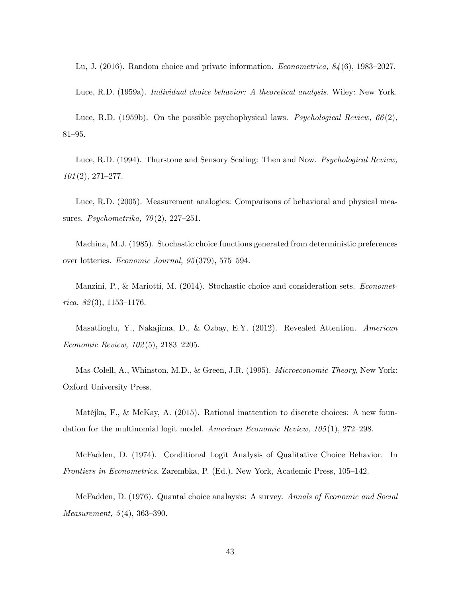Lu, J. (2016). Random choice and private information. *Econometrica*,  $84(6)$ , 1983–2027.

Luce, R.D. (1959a). Individual choice behavior: A theoretical analysis. Wiley: New York.

Luce, R.D. (1959b). On the possible psychophysical laws. *Psychological Review*,  $66(2)$ ,  $81 - 95.$ 

Luce, R.D. (1994). Thurstone and Sensory Scaling: Then and Now. *Psychological Review*,  $101 (2), 271 - 277.$ 

Luce, R.D. (2005). Measurement analogies: Comparisons of behavioral and physical measures. Psychometrika,  $70(2)$ , 227–251.

Machina, M.J. (1985). Stochastic choice functions generated from deterministic preferences over lotteries. *Economic Journal*,  $95(379)$ ,  $575-594$ .

Manzini, P., & Mariotti, M. (2014). Stochastic choice and consideration sets. Econometrica,  $82(3)$ , 1153–1176.

Masatlioglu, Y., Nakajima, D., & Ozbay, E.Y. (2012). Revealed Attention. American Economic Review,  $102(5)$ ,  $2183-2205$ .

Mas-Colell, A., Whinston, M.D., & Green, J.R. (1995). Microeconomic Theory, New York: Oxford University Press.

Matějka, F., & McKay, A. (2015). Rational inattention to discrete choices: A new foundation for the multinomial logit model. American Economic Review,  $105(1)$ , 272–298.

McFadden, D. (1974). Conditional Logit Analysis of Qualitative Choice Behavior. In Frontiers in Econometrics, Zarembka, P. (Ed.), New York, Academic Press, 105–142.

McFadden, D. (1976). Quantal choice analaysis: A survey. Annals of Economic and Social *Measurement*,  $5(4)$ ,  $363-390$ .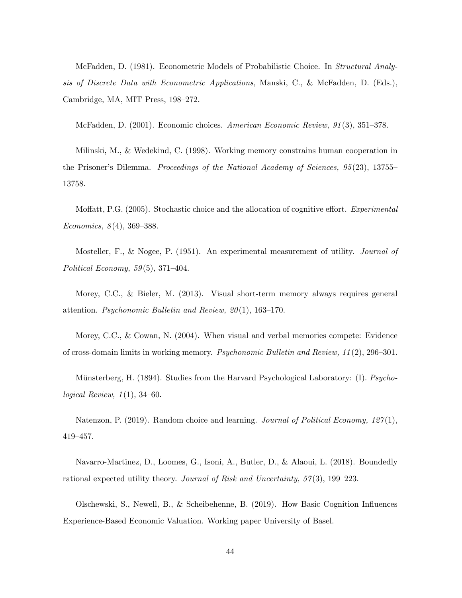McFadden, D. (1981). Econometric Models of Probabilistic Choice. In Structural Analysis of Discrete Data with Econometric Applications, Manski, C., & McFadden, D. (Eds.), Cambridge, MA, MIT Press, 198–272.

McFadden, D.  $(2001)$ . Economic choices. American Economic Review,  $91(3)$ ,  $351-378$ .

Milinski, M., & Wedekind, C. (1998). Working memory constrains human cooperation in the Prisoner's Dilemma. Proceedings of the National Academy of Sciences,  $95(23)$ , 13755– 13758.

Moffatt, P.G. (2005). Stochastic choice and the allocation of cognitive effort. Experimental Economics,  $8(4)$ , 369–388.

Mosteller, F., & Nogee, P. (1951). An experimental measurement of utility. *Journal of* Political Economy,  $59(5)$ ,  $371-404$ .

Morey, C.C., & Bieler, M. (2013). Visual short-term memory always requires general attention. Psychonomic Bulletin and Review,  $20(1)$ , 163–170.

Morey, C.C., & Cowan, N. (2004). When visual and verbal memories compete: Evidence of cross-domain limits in working memory. *Psychonomic Bulletin and Review*,  $11(2)$ ,  $296-301$ .

Münsterberg, H. (1894). Studies from the Harvard Psychological Laboratory: (I). Psychological Review,  $1(1)$ , 34–60.

Natenzon, P. (2019). Random choice and learning. Journal of Political Economy,  $127(1)$ , 419-457.

Navarro-Martinez, D., Loomes, G., Isoni, A., Butler, D., & Alaoui, L. (2018). Boundedly rational expected utility theory. Journal of Risk and Uncertainty,  $57(3)$ , 199–223.

Olschewski, S., Newell, B., & Scheibehenne, B. (2019). How Basic Cognition Ináuences Experience-Based Economic Valuation. Working paper University of Basel.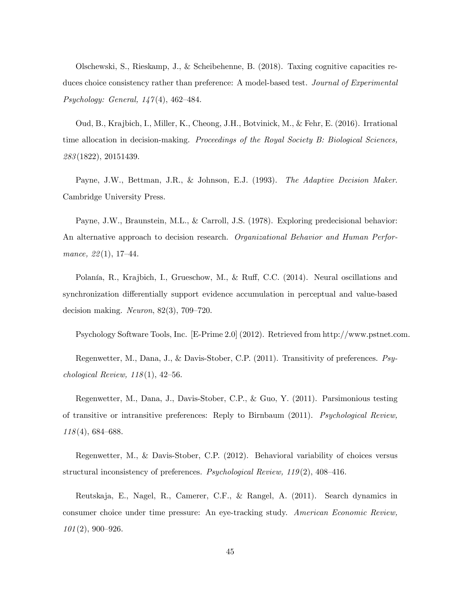Olschewski, S., Rieskamp, J., & Scheibehenne, B. (2018). Taxing cognitive capacities reduces choice consistency rather than preference: A model-based test. Journal of Experimental Psychology: General,  $147(4)$ , 462-484.

Oud, B., Krajbich, I., Miller, K., Cheong, J.H., Botvinick, M., & Fehr, E. (2016). Irrational time allocation in decision-making. Proceedings of the Royal Society B: Biological Sciences, 283 (1822), 20151439.

Payne, J.W., Bettman, J.R., & Johnson, E.J. (1993). The Adaptive Decision Maker. Cambridge University Press.

Payne, J.W., Braunstein, M.L., & Carroll, J.S. (1978). Exploring predecisional behavior: An alternative approach to decision research. Organizational Behavior and Human Performance,  $22(1)$ , 17-44.

Polanía, R., Krajbich, I., Grueschow, M., & Ruff, C.C. (2014). Neural oscillations and synchronization differentially support evidence accumulation in perceptual and value-based decision making. Neuron,  $82(3)$ ,  $709-720$ .

Psychology Software Tools, Inc. [E-Prime 2.0] (2012). Retrieved from http://www.pstnet.com.

Regenwetter, M., Dana, J., & Davis-Stober, C.P. (2011). Transitivity of preferences. Psychological Review,  $118(1)$ , 42-56.

Regenwetter, M., Dana, J., Davis-Stober, C.P., & Guo, Y. (2011). Parsimonious testing of transitive or intransitive preferences: Reply to Birnbaum (2011). Psychological Review,  $118(4)$ , 684–688.

Regenwetter, M., & Davis-Stober, C.P. (2012). Behavioral variability of choices versus structural inconsistency of preferences. *Psychological Review*,  $119(2)$ ,  $408-416$ .

Reutskaja, E., Nagel, R., Camerer, C.F., & Rangel, A. (2011). Search dynamics in consumer choice under time pressure: An eye-tracking study. American Economic Review,  $101(2), 900 - 926.$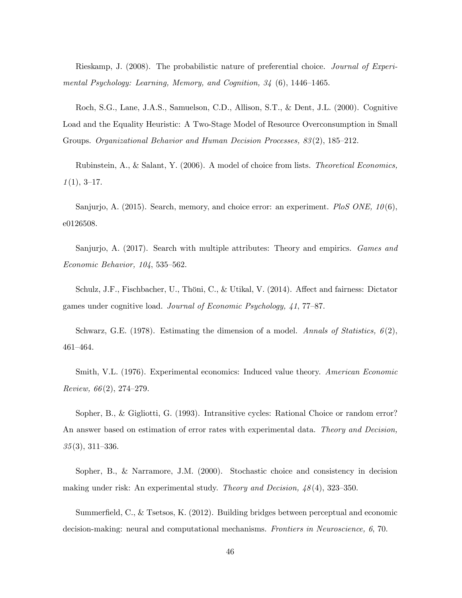Rieskamp, J. (2008). The probabilistic nature of preferential choice. Journal of Experimental Psychology: Learning, Memory, and Cognition,  $34$  (6), 1446-1465.

Roch, S.G., Lane, J.A.S., Samuelson, C.D., Allison, S.T., & Dent, J.L. (2000). Cognitive Load and the Equality Heuristic: A Two-Stage Model of Resource Overconsumption in Small Groups. Organizational Behavior and Human Decision Processes, 83(2), 185–212.

Rubinstein, A., & Salant, Y. (2006). A model of choice from lists. Theoretical Economics,  $1(1), 3-17.$ 

Sanjurjo, A. (2015). Search, memory, and choice error: an experiment. PloS ONE,  $10(6)$ , e0126508.

Sanjurjo, A. (2017). Search with multiple attributes: Theory and empirics. Games and  $Economic Behavior, 104, 535-562.$ 

Schulz, J.F., Fischbacher, U., Thöni, C., & Utikal, V. (2014). Affect and fairness: Dictator games under cognitive load. Journal of Economic Psychology,  $41$ , 77–87.

Schwarz, G.E. (1978). Estimating the dimension of a model. Annals of Statistics,  $6(2)$ , 461-464.

Smith, V.L. (1976). Experimental economics: Induced value theory. American Economic Review,  $66(2)$ , 274–279.

Sopher, B., & Gigliotti, G. (1993). Intransitive cycles: Rational Choice or random error? An answer based on estimation of error rates with experimental data. Theory and Decision,  $35(3), 311-336.$ 

Sopher, B., & Narramore, J.M. (2000). Stochastic choice and consistency in decision making under risk: An experimental study. Theory and Decision,  $\frac{1}{8}(4)$ , 323–350.

Summerfield, C., & Tsetsos, K. (2012). Building bridges between perceptual and economic decision-making: neural and computational mechanisms. *Frontiers in Neuroscience*, 6, 70.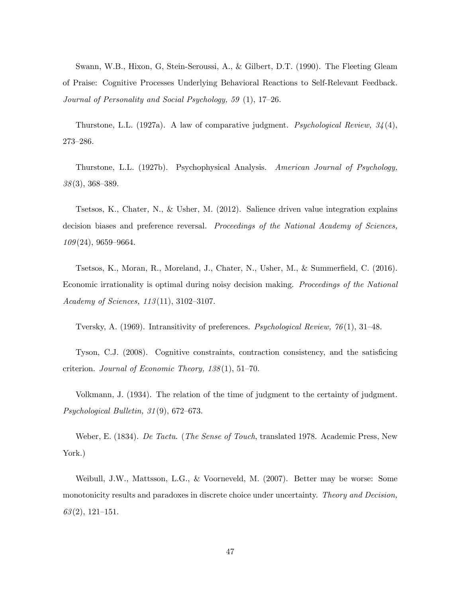Swann, W.B., Hixon, G, Stein-Seroussi, A., & Gilbert, D.T. (1990). The Fleeting Gleam of Praise: Cognitive Processes Underlying Behavioral Reactions to Self-Relevant Feedback. Journal of Personality and Social Psychology, 59  $(1)$ , 17-26.

Thurstone, L.L. (1927a). A law of comparative judgment. Psychological Review,  $34(4)$ , 273-286.

Thurstone, L.L. (1927b). Psychophysical Analysis. American Journal of Psychology,  $38(3)$ , 368-389.

Tsetsos, K., Chater, N., & Usher, M. (2012). Salience driven value integration explains decision biases and preference reversal. Proceedings of the National Academy of Sciences,  $109(24)$ , 9659–9664.

Tsetsos, K., Moran, R., Moreland, J., Chater, N., Usher, M., & Summerfield, C. (2016). Economic irrationality is optimal during noisy decision making. Proceedings of the National Academy of Sciences,  $113(11)$ ,  $3102-3107$ .

Tversky, A. (1969). Intransitivity of preferences. Psychological Review,  $76(1)$ , 31–48.

Tyson, C.J. (2008). Cognitive constraints, contraction consistency, and the satisficing criterion. Journal of Economic Theory,  $138(1)$ , 51-70.

Volkmann, J. (1934). The relation of the time of judgment to the certainty of judgment. Psychological Bulletin,  $31(9)$ ,  $672-673$ .

Weber, E. (1834). De Tactu. (The Sense of Touch, translated 1978. Academic Press, New York.)

Weibull, J.W., Mattsson, L.G., & Voorneveld, M. (2007). Better may be worse: Some monotonicity results and paradoxes in discrete choice under uncertainty. Theory and Decision,  $63(2), 121-151.$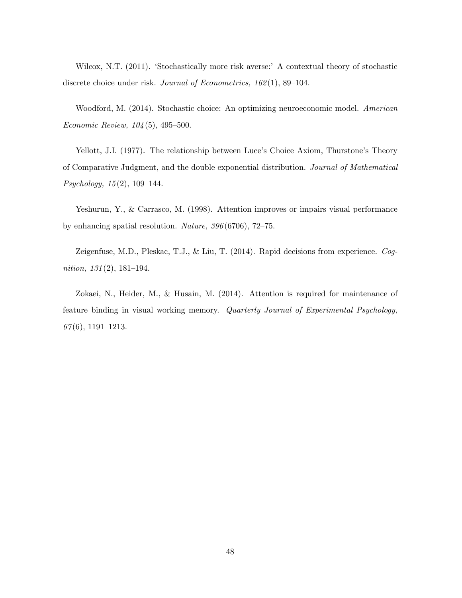Wilcox, N.T. (2011). 'Stochastically more risk averse:' A contextual theory of stochastic discrete choice under risk. Journal of Econometrics,  $162(1)$ , 89–104.

Woodford, M. (2014). Stochastic choice: An optimizing neuroeconomic model. American Economic Review,  $104(5)$ , 495–500.

Yellott, J.I. (1977). The relationship between Luce's Choice Axiom, Thurstone's Theory of Comparative Judgment, and the double exponential distribution. Journal of Mathematical Psychology,  $15(2)$ ,  $109-144$ .

Yeshurun, Y., & Carrasco, M. (1998). Attention improves or impairs visual performance by enhancing spatial resolution. Nature,  $396(6706)$ , 72-75.

Zeigenfuse, M.D., Pleskac, T.J., & Liu, T. (2014). Rapid decisions from experience. Cognition,  $131(2)$ , 181–194.

Zokaei, N., Heider, M., & Husain, M. (2014). Attention is required for maintenance of feature binding in visual working memory. Quarterly Journal of Experimental Psychology,  $67(6)$ , 1191–1213.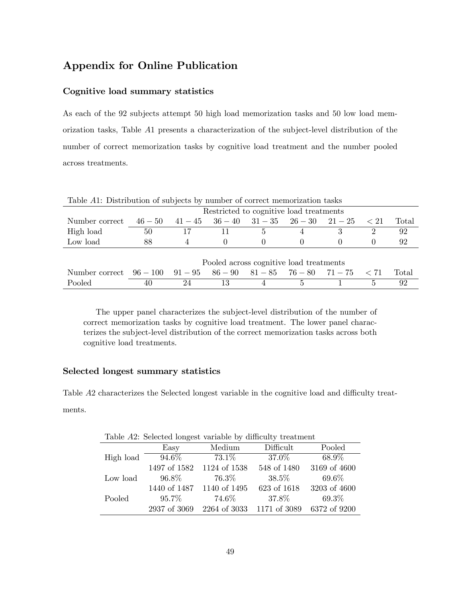# Appendix for Online Publication

#### Cognitive load summary statistics

As each of the 92 subjects attempt 50 high load memorization tasks and 50 low load memorization tasks, Table A1 presents a characterization of the subject-level distribution of the number of correct memorization tasks by cognitive load treatment and the number pooled across treatments.

| Table 711. Distribution of subjects by number of correct includization tasks |                          |                                         |    |              |                                         |  |              |       |
|------------------------------------------------------------------------------|--------------------------|-----------------------------------------|----|--------------|-----------------------------------------|--|--------------|-------|
|                                                                              |                          | Restricted to cognitive load treatments |    |              |                                         |  |              |       |
| Number correct                                                               | $46 - 50$                |                                         |    |              | $41-45$ $36-40$ $31-35$ $26-30$ $21-25$ |  | $\langle 21$ | Total |
| High load                                                                    | 50                       |                                         |    | $\mathbf{a}$ |                                         |  |              | 92    |
| Low load                                                                     | 88                       |                                         |    | 0            |                                         |  |              | 92    |
|                                                                              |                          |                                         |    |              |                                         |  |              |       |
|                                                                              |                          | Pooled across cognitive load treatments |    |              |                                         |  |              |       |
| Number correct                                                               | $96-100$ $91-95$ $86-90$ |                                         |    |              | $81 - 85$ $76 - 80$ $71 - 75$ $< 71$    |  |              | Total |
| Pooled                                                                       | 40                       | 24                                      | 13 |              |                                         |  | 5            | 92    |

Table A1: Distribution of subjects by number of correct memorization tasks

The upper panel characterizes the subject-level distribution of the number of correct memorization tasks by cognitive load treatment. The lower panel characterizes the subject-level distribution of the correct memorization tasks across both cognitive load treatments.

#### Selected longest summary statistics

Table A2 characterizes the Selected longest variable in the cognitive load and difficulty treatments.

Easy Medium Difficult Pooled High load  $94.6\%$   $73.1\%$   $37.0\%$   $68.9\%$ 1497 of 1582 1124 of 1538 548 of 1480 3169 of 4600 Low load  $96.8\%$   $76.3\%$   $38.5\%$   $69.6\%$ 

Pooled 95.7% 74.6% 37.8% 69.3%

Table A2: Selected longest variable by difficulty treatment

| I            |
|--------------|
| ×<br>٦<br>۰, |

1440 of 1487 1140 of 1495 623 of 1618 3203 of 4600

2937 of 3069 2264 of 3033 1171 of 3089 6372 of 9200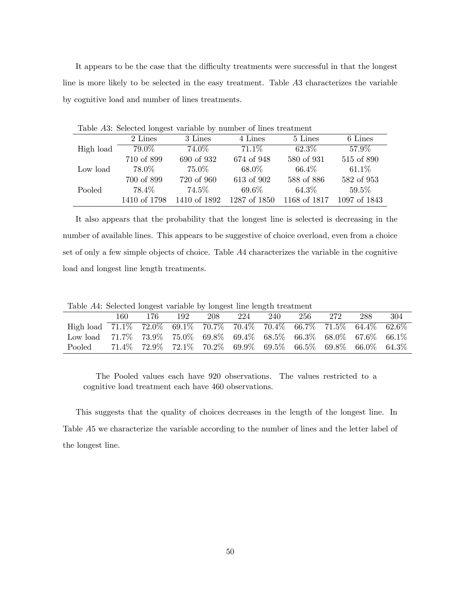It appears to be the case that the difficulty treatments were successful in that the longest line is more likely to be selected in the easy treatment. Table A3 characterizes the variable by cognitive load and number of lines treatments.

| Table A3: Selected longest variable by number of lines treatment |              |              |              |              |              |  |  |
|------------------------------------------------------------------|--------------|--------------|--------------|--------------|--------------|--|--|
|                                                                  | 2 Lines      | 3 Lines      | 4 Lines      | 5 Lines      | 6 Lines      |  |  |
| High load                                                        | 79.0%        | 74.0%        | 71.1\%       | 62.3%        | 57.9%        |  |  |
|                                                                  | 710 of 899   | 690 of 932   | 674 of 948   | 580 of 931   | 515 of 890   |  |  |
| Low load                                                         | 78.0%        | 75.0%        | 68.0%        | $66.4\%$     | $61.1\%$     |  |  |
|                                                                  | 700 of 899   | 720 of 960   | 613 of 902   | 588 of 886   | 582 of 953   |  |  |
| Pooled                                                           | 78.4%        | 74.5%        | $69.6\%$     | $64.3\%$     | 59.5%        |  |  |
|                                                                  | 1410 of 1798 | 1410 of 1892 | 1287 of 1850 | 1168 of 1817 | 1097 of 1843 |  |  |

It also appears that the probability that the longest line is selected is decreasing in the number of available lines. This appears to be suggestive of choice overload, even from a choice set of only a few simple objects of choice. Table A4 characterizes the variable in the cognitive load and longest line length treatments.

Table A4: Selected longest variable by longest line length treatment

|                                                                                                     | 160. | 176. | 192 | 208 | 224 | -240 | 256 | 272                                                                                       | 288 | -304 |
|-----------------------------------------------------------------------------------------------------|------|------|-----|-----|-----|------|-----|-------------------------------------------------------------------------------------------|-----|------|
| High load $71.1\%$ $72.0\%$ $69.1\%$ $70.7\%$ $70.4\%$ $70.4\%$ $66.7\%$ $71.5\%$ $64.4\%$ $62.6\%$ |      |      |     |     |     |      |     |                                                                                           |     |      |
| Low load 71.7% 73.9% 75.0% 69.8% 69.4% 68.5% 66.3% 68.0% 67.6% 66.1%                                |      |      |     |     |     |      |     |                                                                                           |     |      |
| Pooled                                                                                              |      |      |     |     |     |      |     | $71.4\%$ $72.9\%$ $72.1\%$ $70.2\%$ $69.9\%$ $69.5\%$ $66.5\%$ $69.8\%$ $66.0\%$ $64.3\%$ |     |      |

The Pooled values each have 920 observations. The values restricted to a cognitive load treatment each have 460 observations.

This suggests that the quality of choices decreases in the length of the longest line. In Table A5 we characterize the variable according to the number of lines and the letter label of the longest line.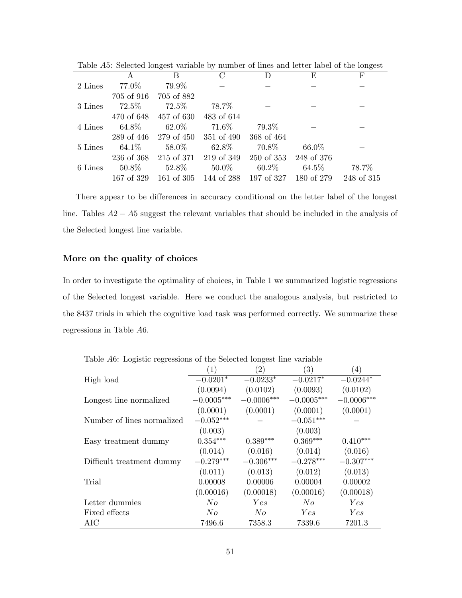|         | A                 | B                                                      |            | D          | E        | F          |
|---------|-------------------|--------------------------------------------------------|------------|------------|----------|------------|
| 2 Lines | 77.0%             | 79.9%                                                  |            |            |          |            |
|         |                   | 705 of 916 705 of 882                                  |            |            |          |            |
| 3 Lines | $72.5\%$ $72.5\%$ |                                                        | 78.7%      |            |          |            |
|         |                   | 470 of 648 457 of 630                                  | 483 of 614 |            |          |            |
| 4 Lines |                   | $64.8\% \qquad 62.0\% \qquad 71.6\%$                   |            | $79.3\%$   |          |            |
|         |                   | 289 of 446 279 of 450 351 of 490                       |            | 368 of 464 |          |            |
| 5 Lines |                   | $64.1\%$ $58.0\%$ $62.8\%$ $70.8\%$                    |            |            | $66.0\%$ |            |
|         |                   | 236 of 368 215 of 371 219 of 349 250 of 353 248 of 376 |            |            |          |            |
| 6 Lines |                   | $50.8\%$ $52.8\%$ $50.0\%$ $60.2\%$                    |            |            | $64.5\%$ | 78.7%      |
|         |                   | 167 of 329 161 of 305 144 of 288 197 of 327 180 of 279 |            |            |          | 248 of 315 |

Table A5: Selected longest variable by number of lines and letter label of the longest

There appear to be differences in accuracy conditional on the letter label of the longest line. Tables  $A2 - A5$  suggest the relevant variables that should be included in the analysis of the Selected longest line variable.

#### More on the quality of choices

In order to investigate the optimality of choices, in Table 1 we summarized logistic regressions of the Selected longest variable. Here we conduct the analogous analysis, but restricted to the 8437 trials in which the cognitive load task was performed correctly. We summarize these regressions in Table A6.

|                            | $\left(1\right)$ | (2)          | (3)          | $\left(4\right)$ |
|----------------------------|------------------|--------------|--------------|------------------|
| High load                  | $-0.0201*$       | $-0.0233*$   | $-0.0217*$   | $-0.0244*$       |
|                            | (0.0094)         | (0.0102)     | (0.0093)     | (0.0102)         |
| Longest line normalized    | $-0.0005***$     | $-0.0006***$ | $-0.0005***$ | $-0.0006***$     |
|                            | (0.0001)         | (0.0001)     | (0.0001)     | (0.0001)         |
| Number of lines normalized | $-0.052***$      |              | $-0.051***$  |                  |
|                            | (0.003)          |              | (0.003)      |                  |
| Easy treatment dummy       | $0.354***$       | $0.389***$   | $0.369***$   | $0.410***$       |
|                            | (0.014)          | (0.016)      | (0.014)      | (0.016)          |
| Difficult treatment dummy  | $-0.279***$      | $-0.306***$  | $-0.278***$  | $-0.307***$      |
|                            | (0.011)          | (0.013)      | (0.012)      | (0.013)          |
| Trial                      | 0.00008          | 0.00006      | 0.00004      | 0.00002          |
|                            | (0.00016)        | (0.00018)    | (0.00016)    | (0.00018)        |
| Letter dummies             | No               | Yes          | No           | Yes              |
| Fixed effects              | No               | No           | Yes          | <i>Yes</i>       |
| AIC                        | 7496.6           | 7358.3       | 7339.6       | 7201.3           |

Table A6: Logistic regressions of the Selected longest line variable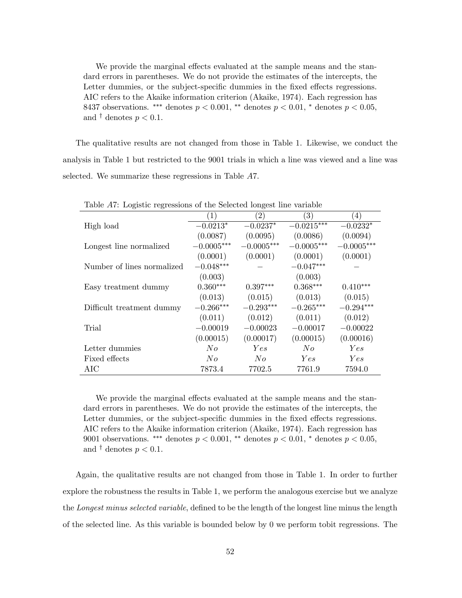We provide the marginal effects evaluated at the sample means and the standard errors in parentheses. We do not provide the estimates of the intercepts, the Letter dummies, or the subject-specific dummies in the fixed effects regressions. AIC refers to the Akaike information criterion (Akaike, 1974). Each regression has 8437 observations. \*\*\* denotes  $p < 0.001$ , \*\* denotes  $p < 0.01$ , \* denotes  $p < 0.05$ , and  $\dagger$  denotes  $p < 0.1$ .

The qualitative results are not changed from those in Table 1. Likewise, we conduct the analysis in Table 1 but restricted to the 9001 trials in which a line was viewed and a line was selected. We summarize these regressions in Table A7.

| Table AT: Logistic regressions of the Selected foligest line variable |                  |              |                   |                  |  |  |
|-----------------------------------------------------------------------|------------------|--------------|-------------------|------------------|--|--|
|                                                                       | $\left  \right $ | (2)          | $\left( 3\right)$ | $\left(4\right)$ |  |  |
| High load                                                             | $-0.0213*$       | $-0.0237*$   | $-0.0215***$      | $-0.0232*$       |  |  |
|                                                                       | (0.0087)         | (0.0095)     | (0.0086)          | (0.0094)         |  |  |
| Longest line normalized                                               | $-0.0005***$     | $-0.0005***$ | $-0.0005***$      | $-0.0005***$     |  |  |
|                                                                       | (0.0001)         | (0.0001)     | (0.0001)          | (0.0001)         |  |  |
| Number of lines normalized                                            | $-0.048***$      |              | $-0.047***$       |                  |  |  |
|                                                                       | (0.003)          |              | (0.003)           |                  |  |  |
| Easy treatment dummy                                                  | $0.360***$       | $0.397***$   | $0.368***$        | $0.410***$       |  |  |
|                                                                       | (0.013)          | (0.015)      | (0.013)           | (0.015)          |  |  |
| Difficult treatment dummy                                             | $-0.266***$      | $-0.293***$  | $-0.265***$       | $-0.294***$      |  |  |
|                                                                       | (0.011)          | (0.012)      | (0.011)           | (0.012)          |  |  |
| Trial                                                                 | $-0.00019$       | $-0.00023$   | $-0.00017$        | $-0.00022$       |  |  |
|                                                                       | (0.00015)        | (0.00017)    | (0.00015)         | (0.00016)        |  |  |
| Letter dummies                                                        | No               | Yes          | No                | Yes              |  |  |
| Fixed effects                                                         | No               | No           | Yes               | Yes              |  |  |
| AIC                                                                   | 7873.4           | 7702.5       | 7761.9            | 7594.0           |  |  |

Table 47: Logistic regressions of the Selected longest line variable

We provide the marginal effects evaluated at the sample means and the standard errors in parentheses. We do not provide the estimates of the intercepts, the Letter dummies, or the subject-specific dummies in the fixed effects regressions. AIC refers to the Akaike information criterion (Akaike, 1974). Each regression has 9001 observations. \*\*\* denotes  $p < 0.001$ , \*\* denotes  $p < 0.01$ , \* denotes  $p < 0.05$ , and  $\dagger$  denotes  $p < 0.1$ .

Again, the qualitative results are not changed from those in Table 1. In order to further explore the robustness the results in Table 1, we perform the analogous exercise but we analyze the Longest minus selected variable, defined to be the length of the longest line minus the length of the selected line. As this variable is bounded below by 0 we perform tobit regressions. The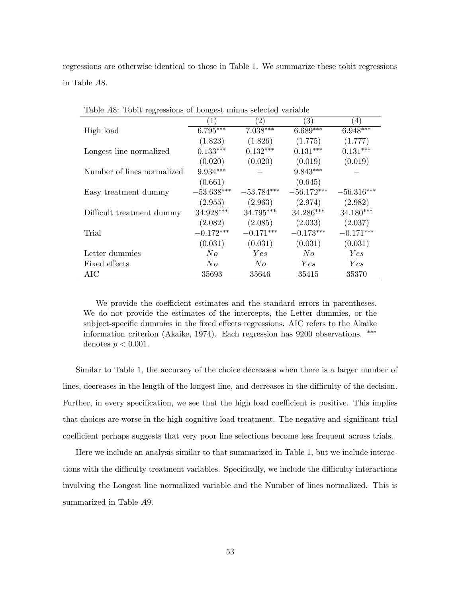regressions are otherwise identical to those in Table 1. We summarize these tobit regressions in Table A8.

|                            |              | $\left( 2\right)$ | $\left(3\right)$ | 4)           |
|----------------------------|--------------|-------------------|------------------|--------------|
| High load                  | $6.795***$   | $7.038***$        | $6.689***$       | $6.948***$   |
|                            | (1.823)      | (1.826)           | (1.775)          | (1.777)      |
| Longest line normalized    | $0.133***$   | $0.132***$        | $0.131***$       | $0.131***$   |
|                            | (0.020)      | (0.020)           | (0.019)          | (0.019)      |
| Number of lines normalized | $9.934***$   |                   | $9.843***$       |              |
|                            | (0.661)      |                   | (0.645)          |              |
| Easy treatment dummy       | $-53.638***$ | $-53.784***$      | $-56.172***$     | $-56.316***$ |
|                            | (2.955)      | (2.963)           | (2.974)          | (2.982)      |
| Difficult treatment dummy  | 34.928***    | 34.795***         | 34.286***        | 34.180***    |
|                            | (2.082)      | (2.085)           | (2.033)          | (2.037)      |
| Trial                      | $-0.172***$  | $-0.171***$       | $-0.173***$      | $-0.171***$  |
|                            | (0.031)      | (0.031)           | (0.031)          | (0.031)      |
| Letter dummies             | No           | Yes               | No               | Yes          |
| Fixed effects              | No           | No                | Yes              | Yes          |
| AIC                        | 35693        | 35646             | 35415            | 35370        |

Table A8: Tobit regressions of Longest minus selected variable

We provide the coefficient estimates and the standard errors in parentheses. We do not provide the estimates of the intercepts, the Letter dummies, or the subject-specific dummies in the fixed effects regressions. AIC refers to the Akaike information criterion (Akaike, 1974). Each regression has 9200 observations. denotes  $p < 0.001$ .

Similar to Table 1, the accuracy of the choice decreases when there is a larger number of lines, decreases in the length of the longest line, and decreases in the difficulty of the decision. Further, in every specification, we see that the high load coefficient is positive. This implies that choices are worse in the high cognitive load treatment. The negative and significant trial coefficient perhaps suggests that very poor line selections become less frequent across trials.

Here we include an analysis similar to that summarized in Table 1, but we include interactions with the difficulty treatment variables. Specifically, we include the difficulty interactions involving the Longest line normalized variable and the Number of lines normalized. This is summarized in Table A9.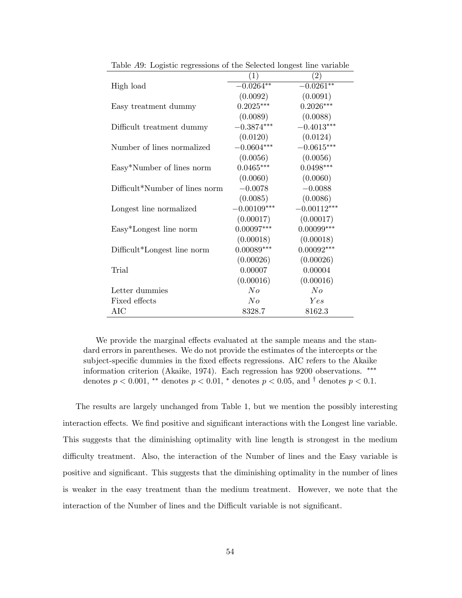|                                | $\left( 1\right)$ | $\left( 2\right)$ |
|--------------------------------|-------------------|-------------------|
| High load                      | $-0.0264**$       | $-0.0261**$       |
|                                | (0.0092)          | (0.0091)          |
| Easy treatment dummy           | $0.2025***$       | $0.2026***$       |
|                                | (0.0089)          | (0.0088)          |
| Difficult treatment dummy      | $-0.3874***$      | $-0.4013***$      |
|                                | (0.0120)          | (0.0124)          |
| Number of lines normalized     | $-0.0604***$      | $-0.0615***$      |
|                                | (0.0056)          | (0.0056)          |
| Easy*Number of lines norm      | $0.0465***$       | $0.0498***$       |
|                                | (0.0060)          | (0.0060)          |
| Difficult*Number of lines norm | $-0.0078$         | $-0.0088$         |
|                                | (0.0085)          | (0.0086)          |
| Longest line normalized        | $-0.00109***$     | $-0.00112***$     |
|                                | (0.00017)         | (0.00017)         |
| Easy*Longest line norm         | $0.00097***$      | $0.00099***$      |
|                                | (0.00018)         | (0.00018)         |
| Difficult*Longest line norm    | $0.00089***$      | $0.00092***$      |
|                                | (0.00026)         | (0.00026)         |
| Trial                          | 0.00007           | 0.00004           |
|                                | (0.00016)         | (0.00016)         |
| Letter dummies                 | $N_{O}$           | No                |
| Fixed effects                  | No                | Yes               |
| AIC                            | 8328.7            | 8162.3            |

Table A9: Logistic regressions of the Selected longest line variable

We provide the marginal effects evaluated at the sample means and the standard errors in parentheses. We do not provide the estimates of the intercepts or the subject-specific dummies in the fixed effects regressions. AIC refers to the Akaike information criterion (Akaike, 1974). Each regression has 9200 observations. denotes  $p < 0.001$ , \*\* denotes  $p < 0.01$ , \* denotes  $p < 0.05$ , and <sup>†</sup> denotes  $p < 0.1$ .

The results are largely unchanged from Table 1, but we mention the possibly interesting interaction effects. We find positive and significant interactions with the Longest line variable. This suggests that the diminishing optimality with line length is strongest in the medium difficulty treatment. Also, the interaction of the Number of lines and the Easy variable is positive and significant. This suggests that the diminishing optimality in the number of lines is weaker in the easy treatment than the medium treatment. However, we note that the interaction of the Number of lines and the Difficult variable is not significant.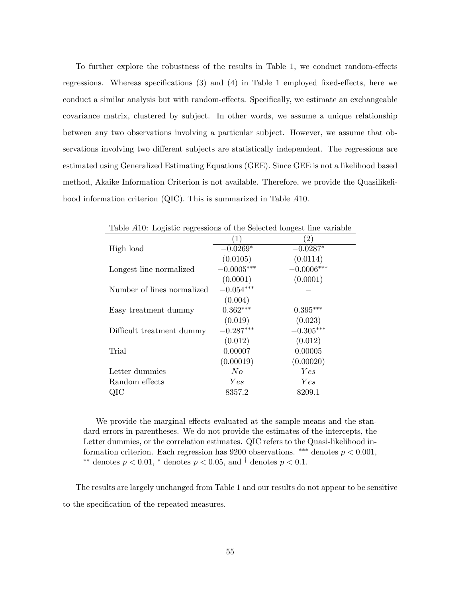To further explore the robustness of the results in Table 1, we conduct random-effects regressions. Whereas specifications  $(3)$  and  $(4)$  in Table 1 employed fixed-effects, here we conduct a similar analysis but with random-effects. Specifically, we estimate an exchangeable covariance matrix, clustered by subject. In other words, we assume a unique relationship between any two observations involving a particular subject. However, we assume that observations involving two different subjects are statistically independent. The regressions are estimated using Generalized Estimating Equations (GEE). Since GEE is not a likelihood based method, Akaike Information Criterion is not available. Therefore, we provide the Quasilikelihood information criterion (QIC). This is summarized in Table A10.

| $\frac{1}{2}$              |              |              |
|----------------------------|--------------|--------------|
|                            | (1)          | (2)          |
| High load                  | $-0.0269*$   | $-0.0287*$   |
|                            | (0.0105)     | (0.0114)     |
| Longest line normalized    | $-0.0005***$ | $-0.0006***$ |
|                            | (0.0001)     | (0.0001)     |
| Number of lines normalized | $-0.054***$  |              |
|                            | (0.004)      |              |
| Easy treatment dummy       | $0.362***$   | $0.395***$   |
|                            | (0.019)      | (0.023)      |
| Difficult treatment dummy  | $-0.287***$  | $-0.305***$  |
|                            | (0.012)      | (0.012)      |
| Trial                      | 0.00007      | 0.00005      |
|                            | (0.00019)    | (0.00020)    |
| Letter dummies             | No           | Yes          |
| Random effects             | <i>Yes</i>   | Yes          |
| QIC                        | 8357.2       | 8209.1       |

Table A10: Logistic regressions of the Selected longest line variable

We provide the marginal effects evaluated at the sample means and the standard errors in parentheses. We do not provide the estimates of the intercepts, the Letter dummies, or the correlation estimates. QIC refers to the Quasi-likelihood information criterion. Each regression has 9200 observations. \*\*\* denotes  $p < 0.001$ , \*\* denotes  $p < 0.01$ , \* denotes  $p < 0.05$ , and <sup>†</sup> denotes  $p < 0.1$ .

The results are largely unchanged from Table 1 and our results do not appear to be sensitive to the specification of the repeated measures.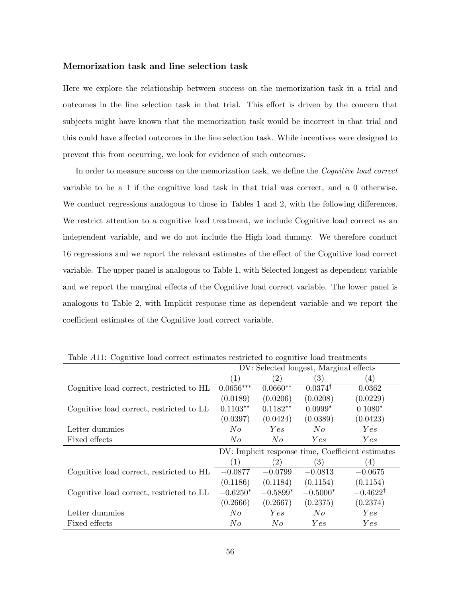#### Memorization task and line selection task

Here we explore the relationship between success on the memorization task in a trial and outcomes in the line selection task in that trial. This effort is driven by the concern that subjects might have known that the memorization task would be incorrect in that trial and this could have affected outcomes in the line selection task. While incentives were designed to prevent this from occurring, we look for evidence of such outcomes.

In order to measure success on the memorization task, we define the *Cognitive load correct* variable to be a 1 if the cognitive load task in that trial was correct, and a 0 otherwise. We conduct regressions analogous to those in Tables  $1$  and  $2$ , with the following differences. We restrict attention to a cognitive load treatment, we include Cognitive load correct as an independent variable, and we do not include the High load dummy. We therefore conduct 16 regressions and we report the relevant estimates of the effect of the Cognitive load correct variable. The upper panel is analogous to Table 1, with Selected longest as dependent variable and we report the marginal effects of the Cognitive load correct variable. The lower panel is analogous to Table 2, with Implicit response time as dependent variable and we report the coefficient estimates of the Cognitive load correct variable.

|                                          | DV: Selected longest, Marginal effects |                   |                    |                                                   |
|------------------------------------------|----------------------------------------|-------------------|--------------------|---------------------------------------------------|
|                                          | $\left( 1\right)$                      | $\left( 2\right)$ | (3)                | $\left( 4\right)$                                 |
| Cognitive load correct, restricted to HL | $0.0656***$                            | $0.0660**$        | $0.0374^{\dagger}$ | 0.0362                                            |
|                                          | (0.0189)                               | (0.0206)          | (0.0208)           | (0.0229)                                          |
| Cognitive load correct, restricted to LL | $0.1103**$                             | $0.1182**$        | $0.0999*$          | $0.1080*$                                         |
|                                          | (0.0397)                               | (0.0424)          | (0.0389)           | (0.0423)                                          |
| Letter dummies                           | No                                     | Yes               | No                 | Yes                                               |
| Fixed effects                            | No                                     | No                | <i>Yes</i>         | Yes                                               |
|                                          |                                        |                   |                    | DV: Implicit response time, Coefficient estimates |
|                                          | (1)                                    | $^{'}2)$          | $\left( 3\right)$  | $\left(4\right)$                                  |
| Cognitive load correct, restricted to HL | $-0.0877$                              | $-0.0799$         | $-0.0813$          | $-0.0675$                                         |
|                                          | (0.1186)                               | (0.1184)          | (0.1154)           | (0.1154)                                          |
| Cognitive load correct, restricted to LL | $-0.6250*$                             | $-0.5899*$        | $-0.5000*$         | $-0.4622^{\dagger}$                               |
|                                          | (0.2666)                               | (0.2667)          | (0.2375)           | (0.2374)                                          |
| Letter dummies                           | No                                     | Yes               | No                 | Yes                                               |
| Fixed effects                            | No                                     | No                | Yes                | Yes                                               |

Table A11: Cognitive load correct estimates restricted to cognitive load treatments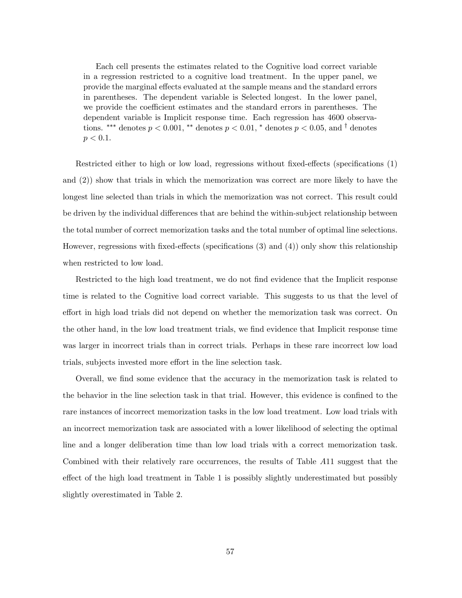Each cell presents the estimates related to the Cognitive load correct variable in a regression restricted to a cognitive load treatment. In the upper panel, we provide the marginal effects evaluated at the sample means and the standard errors in parentheses. The dependent variable is Selected longest. In the lower panel, we provide the coefficient estimates and the standard errors in parentheses. The dependent variable is Implicit response time. Each regression has 4600 observations. \*\*\* denotes  $p < 0.001$ , \*\* denotes  $p < 0.01$ , \* denotes  $p < 0.05$ , and <sup>†</sup> denotes  $p < 0.1$ .

Restricted either to high or low load, regressions without fixed-effects (specifications  $(1)$ ) and (2)) show that trials in which the memorization was correct are more likely to have the longest line selected than trials in which the memorization was not correct. This result could be driven by the individual differences that are behind the within-subject relationship between the total number of correct memorization tasks and the total number of optimal line selections. However, regressions with fixed-effects (specifications  $(3)$  and  $(4)$ ) only show this relationship when restricted to low load.

Restricted to the high load treatment, we do not find evidence that the Implicit response time is related to the Cognitive load correct variable. This suggests to us that the level of effort in high load trials did not depend on whether the memorization task was correct. On the other hand, in the low load treatment trials, we find evidence that Implicit response time was larger in incorrect trials than in correct trials. Perhaps in these rare incorrect low load trials, subjects invested more effort in the line selection task.

Overall, we find some evidence that the accuracy in the memorization task is related to the behavior in the line selection task in that trial. However, this evidence is confined to the rare instances of incorrect memorization tasks in the low load treatment. Low load trials with an incorrect memorization task are associated with a lower likelihood of selecting the optimal line and a longer deliberation time than low load trials with a correct memorization task. Combined with their relatively rare occurrences, the results of Table A11 suggest that the effect of the high load treatment in Table 1 is possibly slightly underestimated but possibly slightly overestimated in Table 2.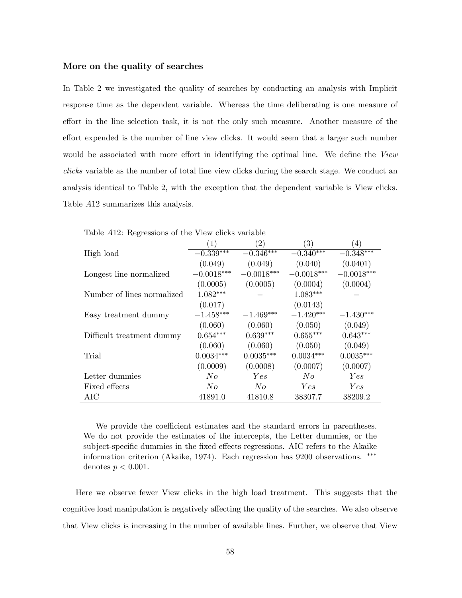#### More on the quality of searches

In Table 2 we investigated the quality of searches by conducting an analysis with Implicit response time as the dependent variable. Whereas the time deliberating is one measure of effort in the line selection task, it is not the only such measure. Another measure of the effort expended is the number of line view clicks. It would seem that a larger such number would be associated with more effort in identifying the optimal line. We define the View clicks variable as the number of total line view clicks during the search stage. We conduct an analysis identical to Table 2, with the exception that the dependent variable is View clicks. Table A12 summarizes this analysis.

| Lable A112. Regressions of the view chas variable |                  |                   |                  |                  |  |  |
|---------------------------------------------------|------------------|-------------------|------------------|------------------|--|--|
|                                                   | $\left(1\right)$ | $\left( 2\right)$ | $\left(3\right)$ | $\left(4\right)$ |  |  |
| High load                                         | $-0.339***$      | $-0.346***$       | $-0.340***$      | $-0.348***$      |  |  |
|                                                   | (0.049)          | (0.049)           | (0.040)          | (0.0401)         |  |  |
| Longest line normalized                           | $-0.0018***$     | $-0.0018***$      | $-0.0018***$     | $-0.0018***$     |  |  |
|                                                   | (0.0005)         | (0.0005)          | (0.0004)         | (0.0004)         |  |  |
| Number of lines normalized                        | $1.082***$       |                   | $1.083***$       |                  |  |  |
|                                                   | (0.017)          |                   | (0.0143)         |                  |  |  |
| Easy treatment dummy                              | $-1.458***$      | $-1.469***$       | $-1.420***$      | $-1.430***$      |  |  |
|                                                   | (0.060)          | (0.060)           | (0.050)          | (0.049)          |  |  |
| Difficult treatment dummy                         | $0.654***$       | $0.639***$        | $0.655***$       | $0.643***$       |  |  |
|                                                   | (0.060)          | (0.060)           | (0.050)          | (0.049)          |  |  |
| Trial                                             | $0.0034***$      | $0.0035***$       | $0.0034***$      | $0.0035***$      |  |  |
|                                                   | (0.0009)         | (0.0008)          | (0.0007)         | (0.0007)         |  |  |
| Letter dummies                                    | No               | Yes               | No               | Yes              |  |  |
| Fixed effects                                     | No               | N o               | Yes              | Yes              |  |  |
| AIC                                               | 41891.0          | 41810.8           | 38307.7          | 38209.2          |  |  |

Table A12: Regressions of the View clicks variable

We provide the coefficient estimates and the standard errors in parentheses. We do not provide the estimates of the intercepts, the Letter dummies, or the subject-specific dummies in the fixed effects regressions. AIC refers to the Akaike information criterion (Akaike, 1974). Each regression has 9200 observations. denotes  $p < 0.001$ .

Here we observe fewer View clicks in the high load treatment. This suggests that the cognitive load manipulation is negatively affecting the quality of the searches. We also observe that View clicks is increasing in the number of available lines. Further, we observe that View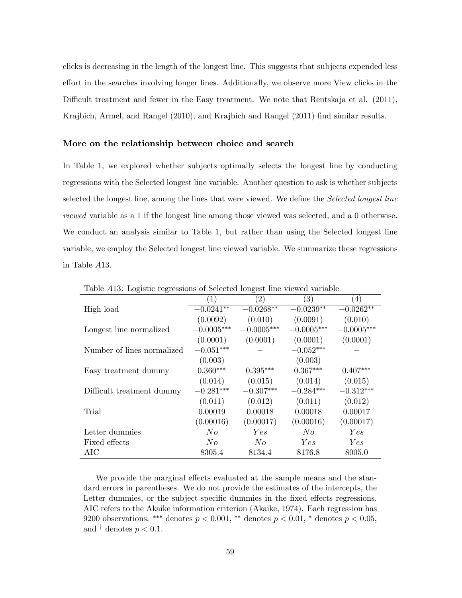clicks is decreasing in the length of the longest line. This suggests that subjects expended less effort in the searches involving longer lines. Additionally, we observe more View clicks in the Difficult treatment and fewer in the Easy treatment. We note that Reutskaja et al. (2011), Krajbich, Armel, and Rangel (2010), and Krajbich and Rangel (2011) find similar results.

#### More on the relationship between choice and search

In Table 1, we explored whether subjects optimally selects the longest line by conducting regressions with the Selected longest line variable. Another question to ask is whether subjects selected the longest line, among the lines that were viewed. We define the *Selected longest line* viewed variable as a 1 if the longest line among those viewed was selected, and a 0 otherwise. We conduct an analysis similar to Table 1, but rather than using the Selected longest line variable, we employ the Selected longest line viewed variable. We summarize these regressions in Table A13.

| $\circ$<br>O               |                  | $\circ$      |              |                  |
|----------------------------|------------------|--------------|--------------|------------------|
|                            | $\left(1\right)$ | (2)          | (3)          | $\left(4\right)$ |
| High load                  | $-0.0241**$      | $-0.0268**$  | $-0.0239**$  | $-0.0262**$      |
|                            | (0.0092)         | (0.010)      | (0.0091)     | (0.010)          |
| Longest line normalized    | $-0.0005***$     | $-0.0005***$ | $-0.0005***$ | $-0.0005***$     |
|                            | (0.0001)         | (0.0001)     | (0.0001)     | (0.0001)         |
| Number of lines normalized | $-0.051***$      |              | $-0.052***$  |                  |
|                            | (0.003)          |              | (0.003)      |                  |
| Easy treatment dummy       | $0.360***$       | $0.395***$   | $0.367***$   | $0.407***$       |
|                            | (0.014)          | (0.015)      | (0.014)      | (0.015)          |
| Difficult treatment dummy  | $-0.281***$      | $-0.307***$  | $-0.284***$  | $-0.312***$      |
|                            | (0.011)          | (0.012)      | (0.011)      | (0.012)          |
| Trial                      | 0.00019          | 0.00018      | 0.00018      | 0.00017          |
|                            | (0.00016)        | (0.00017)    | (0.00016)    | (0.00017)        |
| Letter dummies             | No               | Yes          | No           | Yes              |
| Fixed effects              | No               | No           | Yes          | Yes              |
| AIC                        | 8305.4           | 8134.4       | 8176.8       | 8005.0           |

Table A13: Logistic regressions of Selected longest line viewed variable

We provide the marginal effects evaluated at the sample means and the standard errors in parentheses. We do not provide the estimates of the intercepts, the Letter dummies, or the subject-specific dummies in the fixed effects regressions. AIC refers to the Akaike information criterion (Akaike, 1974). Each regression has 9200 observations. \*\*\* denotes  $p < 0.001$ , \*\* denotes  $p < 0.01$ , \* denotes  $p < 0.05$ , and  $\dagger$  denotes  $p < 0.1$ .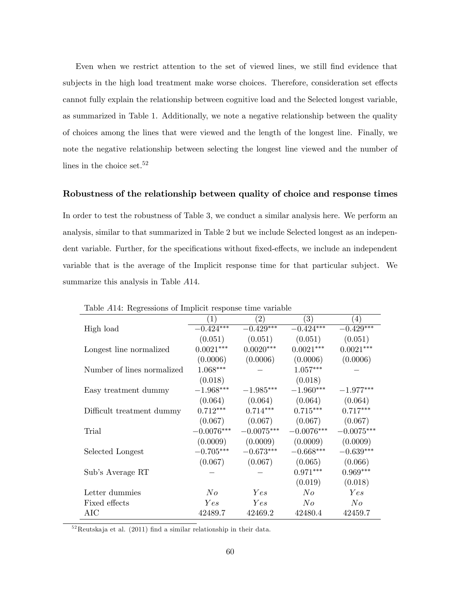Even when we restrict attention to the set of viewed lines, we still Önd evidence that subjects in the high load treatment make worse choices. Therefore, consideration set effects cannot fully explain the relationship between cognitive load and the Selected longest variable, as summarized in Table 1. Additionally, we note a negative relationship between the quality of choices among the lines that were viewed and the length of the longest line. Finally, we note the negative relationship between selecting the longest line viewed and the number of lines in the choice set.<sup>52</sup>

#### Robustness of the relationship between quality of choice and response times

In order to test the robustness of Table 3, we conduct a similar analysis here. We perform an analysis, similar to that summarized in Table 2 but we include Selected longest as an independent variable. Further, for the specifications without fixed-effects, we include an independent variable that is the average of the Implicit response time for that particular subject. We summarize this analysis in Table  $A14$ .

|                            | Lable A14. Regressions of Implicit response time variable |              |              |              |  |  |  |
|----------------------------|-----------------------------------------------------------|--------------|--------------|--------------|--|--|--|
|                            |                                                           | (2)          | (3)          | 4)           |  |  |  |
| High load                  | $-0.424***$                                               | $-0.429***$  | $-0.424***$  | $-0.429***$  |  |  |  |
|                            | (0.051)                                                   | (0.051)      | (0.051)      | (0.051)      |  |  |  |
| Longest line normalized    | $0.0021***$                                               | $0.0020***$  | $0.0021***$  | $0.0021***$  |  |  |  |
|                            | (0.0006)                                                  | (0.0006)     | (0.0006)     | (0.0006)     |  |  |  |
| Number of lines normalized | $1.068***$                                                |              | $1.057***$   |              |  |  |  |
|                            | (0.018)                                                   |              | (0.018)      |              |  |  |  |
| Easy treatment dummy       | $-1.968***$                                               | $-1.985***$  | $-1.960***$  | $-1.977***$  |  |  |  |
|                            | (0.064)                                                   | (0.064)      | (0.064)      | (0.064)      |  |  |  |
| Difficult treatment dummy  | $0.712***$                                                | $0.714***$   | $0.715***$   | $0.717***$   |  |  |  |
|                            | (0.067)                                                   | (0.067)      | (0.067)      | (0.067)      |  |  |  |
| Trial                      | $-0.0076***$                                              | $-0.0075***$ | $-0.0076***$ | $-0.0075***$ |  |  |  |
|                            | (0.0009)                                                  | (0.0009)     | (0.0009)     | (0.0009)     |  |  |  |
| Selected Longest           | $-0.705***$                                               | $-0.673***$  | $-0.668***$  | $-0.639***$  |  |  |  |
|                            | (0.067)                                                   | (0.067)      | (0.065)      | (0.066)      |  |  |  |
| Sub's Average RT           |                                                           |              | $0.971***$   | $0.969***$   |  |  |  |
|                            |                                                           |              | (0.019)      | (0.018)      |  |  |  |
| Letter dummies             | N o                                                       | Yes          | N o          | Yes          |  |  |  |
| Fixed effects              | Yes                                                       | Yes          | No           | N o          |  |  |  |
| AIC                        | 42489.7                                                   | 42469.2      | 42480.4      | 42459.7      |  |  |  |

Table A14: Regressions of Implicit response time variable

 $5<sup>52</sup>$ Reutskaja et al. (2011) find a similar relationship in their data.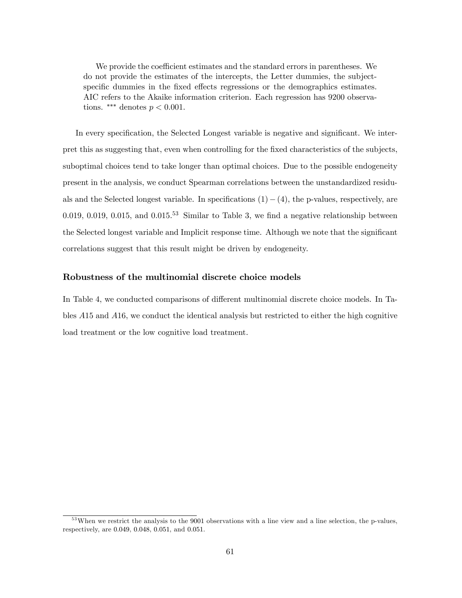We provide the coefficient estimates and the standard errors in parentheses. We do not provide the estimates of the intercepts, the Letter dummies, the subjectspecific dummies in the fixed effects regressions or the demographics estimates. AIC refers to the Akaike information criterion. Each regression has 9200 observations. \*\*\* denotes  $p < 0.001$ .

In every specification, the Selected Longest variable is negative and significant. We interpret this as suggesting that, even when controlling for the fixed characteristics of the subjects, suboptimal choices tend to take longer than optimal choices. Due to the possible endogeneity present in the analysis, we conduct Spearman correlations between the unstandardized residuals and the Selected longest variable. In specifications  $(1)-(4)$ , the p-values, respectively, are 0.019, 0.019, 0.015, and 0.015.<sup>53</sup> Similar to Table 3, we find a negative relationship between the Selected longest variable and Implicit response time. Although we note that the significant correlations suggest that this result might be driven by endogeneity.

#### Robustness of the multinomial discrete choice models

In Table 4, we conducted comparisons of different multinomial discrete choice models. In Tables A15 and A16, we conduct the identical analysis but restricted to either the high cognitive load treatment or the low cognitive load treatment.

<sup>&</sup>lt;sup>53</sup>When we restrict the analysis to the 9001 observations with a line view and a line selection, the p-values, respectively, are 0:049, 0:048, 0:051, and 0:051.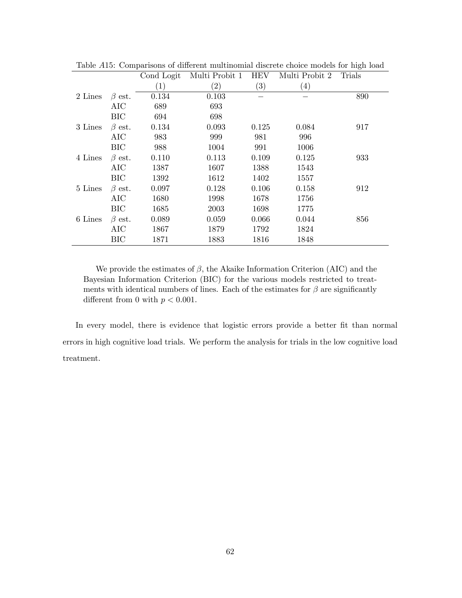|              | Cond Logit | Multi Probit 1    | HEV               | Multi Probit 2    | Trials |
|--------------|------------|-------------------|-------------------|-------------------|--------|
|              | (1)        | $\left( 2\right)$ | $\left( 3\right)$ | $\left( 4\right)$ |        |
| $\beta$ est. | 0.134      | 0.103             |                   |                   | 890    |
| AIC          | 689        | 693               |                   |                   |        |
| <b>BIC</b>   | 694        | 698               |                   |                   |        |
| $\beta$ est. | 0.134      | 0.093             | 0.125             | 0.084             | 917    |
| AIC          | 983        | 999               | 981               | 996               |        |
| <b>BIC</b>   | 988        | 1004              | 991               | 1006              |        |
| $\beta$ est. | 0.110      | 0.113             | 0.109             | 0.125             | 933    |
| AIC          | 1387       | 1607              | 1388              | 1543              |        |
| BIC          | 1392       | 1612              | 1402              | 1557              |        |
| $\beta$ est. | 0.097      | 0.128             | 0.106             | 0.158             | 912    |
| AIC          | 1680       | 1998              | 1678              | 1756              |        |
| <b>BIC</b>   | 1685       | 2003              | 1698              | 1775              |        |
| $\beta$ est. | 0.089      | 0.059             | 0.066             | 0.044             | 856    |
| AIC          | 1867       | 1879              | 1792              | 1824              |        |
| <b>BIC</b>   | 1871       | 1883              | 1816              | 1848              |        |
|              |            |                   |                   |                   |        |

Table A15: Comparisons of different multinomial discrete choice models for high load

We provide the estimates of  $\beta$ , the Akaike Information Criterion (AIC) and the Bayesian Information Criterion (BIC) for the various models restricted to treatments with identical numbers of lines. Each of the estimates for  $\beta$  are significantly different from 0 with  $p < 0.001$ .

In every model, there is evidence that logistic errors provide a better fit than normal errors in high cognitive load trials. We perform the analysis for trials in the low cognitive load treatment.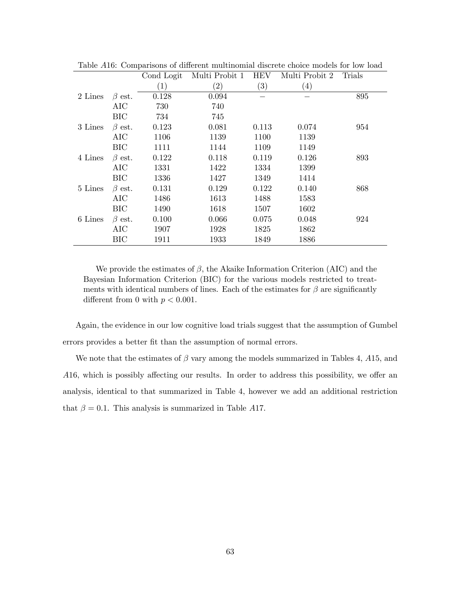|         |              | Cond Logit | Multi Probit 1 | <b>HEV</b>        | Multi Probit 2 | Trials |
|---------|--------------|------------|----------------|-------------------|----------------|--------|
|         |              | (1)        | (2)            | $\left( 3\right)$ | (4)            |        |
| 2 Lines | $\beta$ est. | 0.128      | 0.094          |                   |                | 895    |
|         | AIC          | 730        | 740            |                   |                |        |
|         | <b>BIC</b>   | 734        | 745            |                   |                |        |
| 3 Lines | $\beta$ est. | 0.123      | 0.081          | 0.113             | 0.074          | 954    |
|         | AIC          | 1106       | 1139           | 1100              | 1139           |        |
|         | <b>BIC</b>   | 1111       | 1144           | 1109              | 1149           |        |
| 4 Lines | $\beta$ est. | 0.122      | 0.118          | 0.119             | 0.126          | 893    |
|         | AIC          | 1331       | 1422           | 1334              | 1399           |        |
|         | BIC          | 1336       | 1427           | 1349              | 1414           |        |
| 5 Lines | $\beta$ est. | 0.131      | 0.129          | 0.122             | 0.140          | 868    |
|         | AIC          | 1486       | 1613           | 1488              | 1583           |        |
|         | <b>BIC</b>   | 1490       | 1618           | 1507              | 1602           |        |
| 6 Lines | $\beta$ est. | 0.100      | 0.066          | 0.075             | 0.048          | 924    |
|         | AIC          | 1907       | 1928           | 1825              | 1862           |        |
|         | BIC          | 1911       | 1933           | 1849              | 1886           |        |
|         |              |            |                |                   |                |        |

Table A16: Comparisons of different multinomial discrete choice models for low load

We provide the estimates of  $\beta$ , the Akaike Information Criterion (AIC) and the Bayesian Information Criterion (BIC) for the various models restricted to treatments with identical numbers of lines. Each of the estimates for  $\beta$  are significantly different from 0 with  $p < 0.001$ .

Again, the evidence in our low cognitive load trials suggest that the assumption of Gumbel errors provides a better fit than the assumption of normal errors.

We note that the estimates of  $\beta$  vary among the models summarized in Tables 4, A15, and  $A16$ , which is possibly affecting our results. In order to address this possibility, we offer an analysis, identical to that summarized in Table 4, however we add an additional restriction that  $\beta = 0.1$ . This analysis is summarized in Table A17.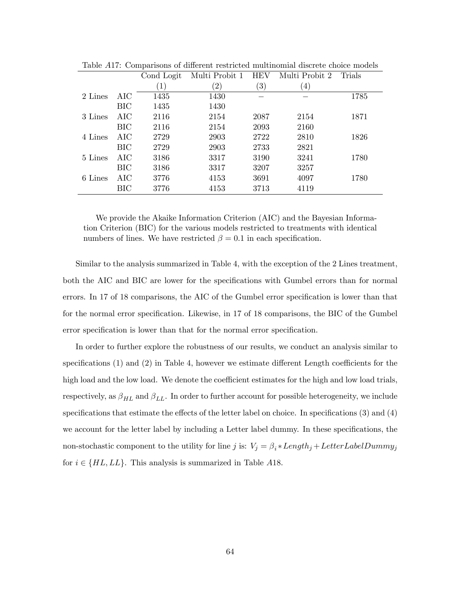|         |            | Cond Logit       | Multi Probit 1    | <b>HEV</b>        | Multi Probit 2   | Trials |
|---------|------------|------------------|-------------------|-------------------|------------------|--------|
|         |            | $\left(1\right)$ | $\left( 2\right)$ | $\left( 3\right)$ | $\left(4\right)$ |        |
| 2 Lines | AIC        | 1435             | 1430              |                   |                  | 1785   |
|         | <b>BIC</b> | 1435             | 1430              |                   |                  |        |
| 3 Lines | AIC        | 2116             | 2154              | 2087              | 2154             | 1871   |
|         | <b>BIC</b> | 2116             | 2154              | 2093              | 2160             |        |
| 4 Lines | AIC        | 2729             | 2903              | 2722              | 2810             | 1826   |
|         | BIC        | 2729             | 2903              | 2733              | 2821             |        |
| 5 Lines | AIC        | 3186             | 3317              | 3190              | 3241             | 1780   |
|         | BIC        | 3186             | 3317              | 3207              | 3257             |        |
| 6 Lines | AIC        | 3776             | 4153              | 3691              | 4097             | 1780   |
|         | BIC        | 3776             | 4153              | 3713              | 4119             |        |
|         |            |                  |                   |                   |                  |        |

Table  $A17$ : Comparisons of different restricted multinomial discrete choice models

We provide the Akaike Information Criterion (AIC) and the Bayesian Information Criterion (BIC) for the various models restricted to treatments with identical numbers of lines. We have restricted  $\beta = 0.1$  in each specification.

Similar to the analysis summarized in Table 4, with the exception of the 2 Lines treatment, both the AIC and BIC are lower for the specifications with Gumbel errors than for normal errors. In 17 of 18 comparisons, the AIC of the Gumbel error specification is lower than that for the normal error specification. Likewise, in 17 of 18 comparisons, the BIC of the Gumbel error specification is lower than that for the normal error specification.

In order to further explore the robustness of our results, we conduct an analysis similar to specifications  $(1)$  and  $(2)$  in Table 4, however we estimate different Length coefficients for the high load and the low load. We denote the coefficient estimates for the high and low load trials, respectively, as  $\beta_{HL}$  and  $\beta_{LL}$ . In order to further account for possible heterogeneity, we include specifications that estimate the effects of the letter label on choice. In specifications  $(3)$  and  $(4)$ we account for the letter label by including a Letter label dummy. In these specifications, the non-stochastic component to the utility for line j is:  $V_j = \beta_i * Length_j + LetterLabelDummy_j$ for  $i \in \{HL, LL\}$ . This analysis is summarized in Table A18.